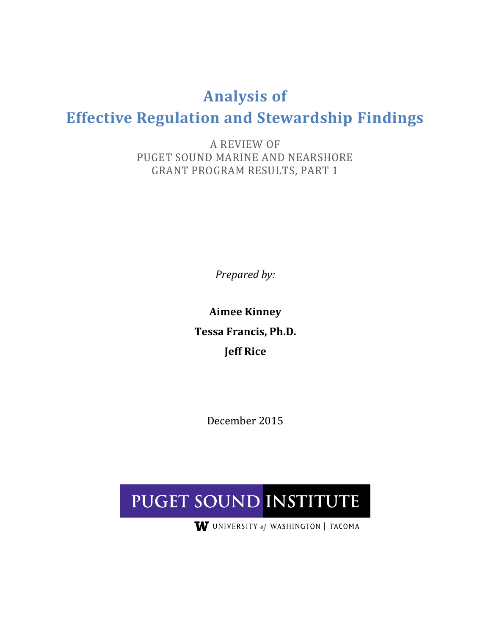## **Analysis of**

# **Effective Regulation and Stewardship Findings**

A REVIEW OF PUGET SOUND MARINE AND NEARSHORE GRANT PROGRAM RESULTS, PART 1

*Prepared by:*

**Aimee Kinney Tessa Francis, Ph.D. Jeff Rice**

December 2015

# PUGET SOUND INSTITUTE

W UNIVERSITY of WASHINGTON | TACOMA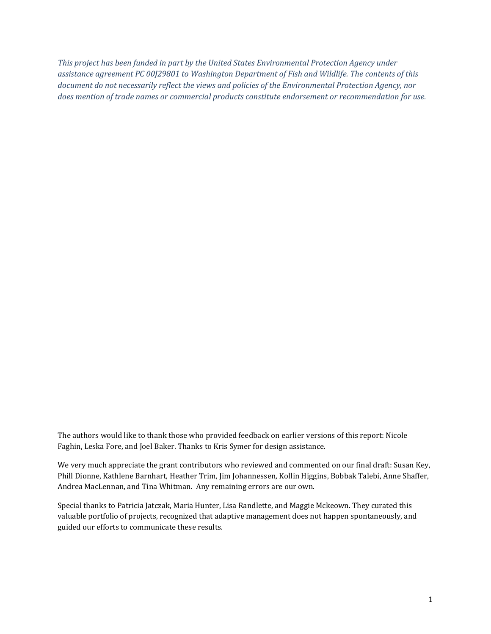*This project has been funded in part by the United States Environmental Protection Agency under assistance agreement PC 00J29801 to Washington Department of Fish and Wildlife. The contents of this document do not necessarily reflect the views and policies of the Environmental Protection Agency, nor does mention of trade names or commercial products constitute endorsement or recommendation for use.*

The authors would like to thank those who provided feedback on earlier versions of this report: Nicole Faghin, Leska Fore, and Joel Baker. Thanks to Kris Symer for design assistance.

We very much appreciate the grant contributors who reviewed and commented on our final draft: Susan Key, Phill Dionne, Kathlene Barnhart, Heather Trim, Jim Johannessen, Kollin Higgins, Bobbak Talebi, Anne Shaffer, Andrea MacLennan, and Tina Whitman. Any remaining errors are our own.

Special thanks to Patricia Jatczak, Maria Hunter, Lisa Randlette, and Maggie Mckeown. They curated this valuable portfolio of projects, recognized that adaptive management does not happen spontaneously, and guided our efforts to communicate these results.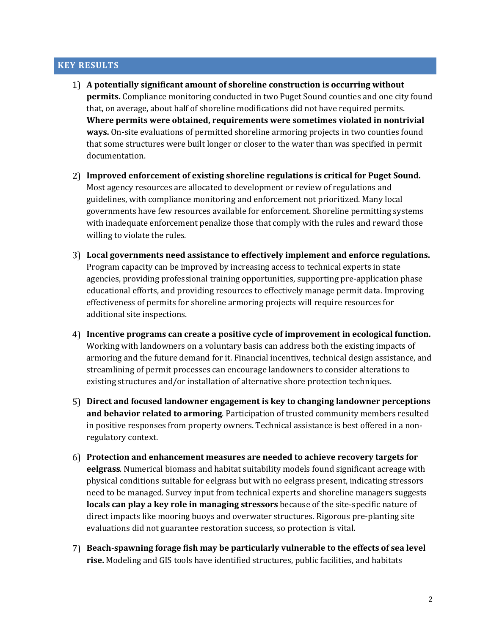#### **KEY RESULTS**

- **A potentially significant amount of shoreline construction is occurring without permits.** Compliance monitoring conducted in two Puget Sound counties and one city found that, on average, about half of shoreline modifications did not have required permits. **Where permits were obtained, requirements were sometimes violated in nontrivial ways.** On-site evaluations of permitted shoreline armoring projects in two counties found that some structures were built longer or closer to the water than was specified in permit documentation.
- **Improved enforcement of existing shoreline regulations is critical for Puget Sound.** Most agency resources are allocated to development or review of regulations and guidelines, with compliance monitoring and enforcement not prioritized. Many local governments have few resources available for enforcement. Shoreline permitting systems with inadequate enforcement penalize those that comply with the rules and reward those willing to violate the rules.
- **Local governments need assistance to effectively implement and enforce regulations.** Program capacity can be improved by increasing access to technical experts in state agencies, providing professional training opportunities, supporting pre-application phase educational efforts, and providing resources to effectively manage permit data. Improving effectiveness of permits for shoreline armoring projects will require resources for additional site inspections.
- **Incentive programs can create a positive cycle of improvement in ecological function.** Working with landowners on a voluntary basis can address both the existing impacts of armoring and the future demand for it. Financial incentives, technical design assistance, and streamlining of permit processes can encourage landowners to consider alterations to existing structures and/or installation of alternative shore protection techniques.
- **Direct and focused landowner engagement is key to changing landowner perceptions and behavior related to armoring**. Participation of trusted community members resulted in positive responses from property owners. Technical assistance is best offered in a nonregulatory context.
- **Protection and enhancement measures are needed to achieve recovery targets for eelgrass**. Numerical biomass and habitat suitability models found significant acreage with physical conditions suitable for eelgrass but with no eelgrass present, indicating stressors need to be managed. Survey input from technical experts and shoreline managers suggests **locals can play a key role in managing stressors** because of the site-specific nature of direct impacts like mooring buoys and overwater structures. Rigorous pre-planting site evaluations did not guarantee restoration success, so protection is vital.
- **Beach-spawning forage fish may be particularly vulnerable to the effects of sea level rise.** Modeling and GIS tools have identified structures, public facilities, and habitats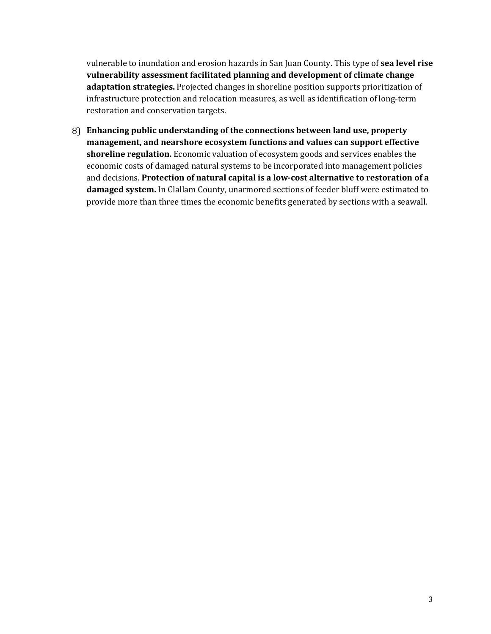vulnerable to inundation and erosion hazards in San Juan County. This type of **sea level rise vulnerability assessment facilitated planning and development of climate change adaptation strategies.** Projected changes in shoreline position supports prioritization of infrastructure protection and relocation measures, as well as identification of long-term restoration and conservation targets.

**Enhancing public understanding of the connections between land use, property management, and nearshore ecosystem functions and values can support effective shoreline regulation.** Economic valuation of ecosystem goods and services enables the economic costs of damaged natural systems to be incorporated into management policies and decisions. **Protection of natural capital is a low-cost alternative to restoration of a damaged system.** In Clallam County, unarmored sections of feeder bluff were estimated to provide more than three times the economic benefits generated by sections with a seawall.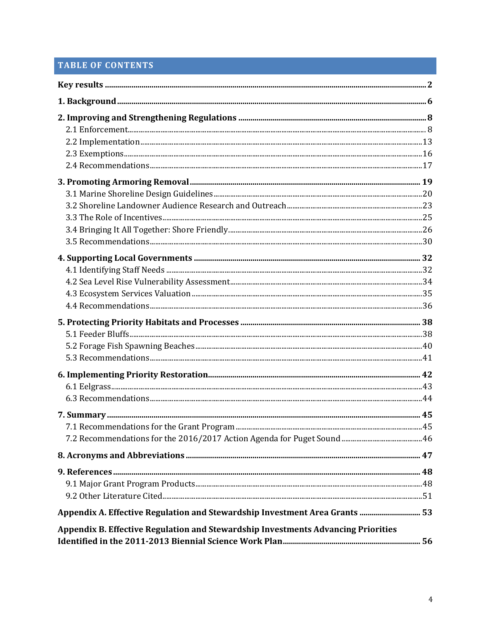## **TABLE OF CONTENTS**

| Appendix A. Effective Regulation and Stewardship Investment Area Grants  53       |  |
|-----------------------------------------------------------------------------------|--|
| Appendix B. Effective Regulation and Stewardship Investments Advancing Priorities |  |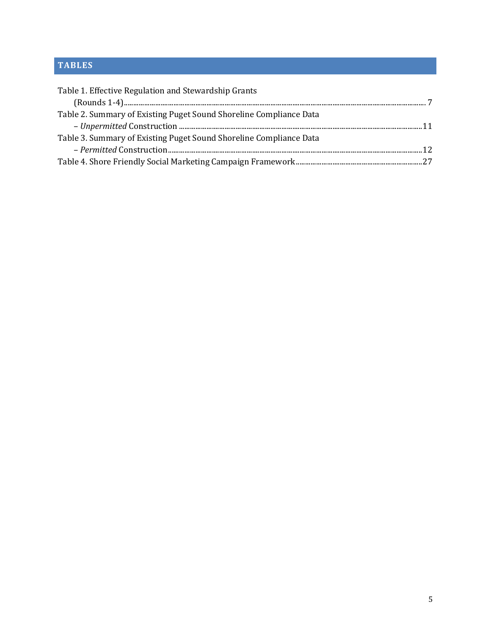## **TABLES**

| Table 1. Effective Regulation and Stewardship Grants               |  |
|--------------------------------------------------------------------|--|
|                                                                    |  |
| Table 2. Summary of Existing Puget Sound Shoreline Compliance Data |  |
|                                                                    |  |
| Table 3. Summary of Existing Puget Sound Shoreline Compliance Data |  |
|                                                                    |  |
|                                                                    |  |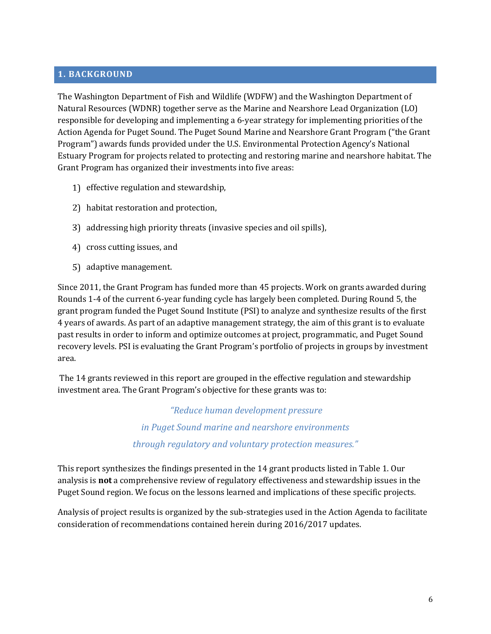#### **1. BACKGROUND**

The Washington Department of Fish and Wildlife (WDFW) and the Washington Department of Natural Resources (WDNR) together serve as the Marine and Nearshore Lead Organization (LO) responsible for developing and implementing a 6-year strategy for implementing priorities of the Action Agenda for Puget Sound. The Puget Sound Marine and Nearshore Grant Program ("the Grant Program") awards funds provided under the U.S. Environmental Protection Agency's National Estuary Program for projects related to protecting and restoring marine and nearshore habitat. The Grant Program has organized their investments into five areas:

- 1) effective regulation and stewardship,
- 2) habitat restoration and protection,
- addressing high priority threats (invasive species and oil spills),
- 4) cross cutting issues, and
- 5) adaptive management.

Since 2011, the Grant Program has funded more than 45 projects. Work on grants awarded during Rounds 1-4 of the current 6-year funding cycle has largely been completed. During Round 5, the grant program funded the Puget Sound Institute (PSI) to analyze and synthesize results of the first 4 years of awards. As part of an adaptive management strategy, the aim of this grant is to evaluate past results in order to inform and optimize outcomes at project, programmatic, and Puget Sound recovery levels. PSI is evaluating the Grant Program's portfolio of projects in groups by investment area.

The 14 grants reviewed in this report are grouped in the effective regulation and stewardship investment area. The Grant Program's objective for these grants was to:

> *"Reduce human development pressure in Puget Sound marine and nearshore environments through regulatory and voluntary protection measures."*

This report synthesizes the findings presented in the 14 grant products listed in Table 1. Our analysis is **not** a comprehensive review of regulatory effectiveness and stewardship issues in the Puget Sound region. We focus on the lessons learned and implications of these specific projects.

Analysis of project results is organized by the sub-strategies used in the Action Agenda to facilitate consideration of recommendations contained herein during 2016/2017 updates.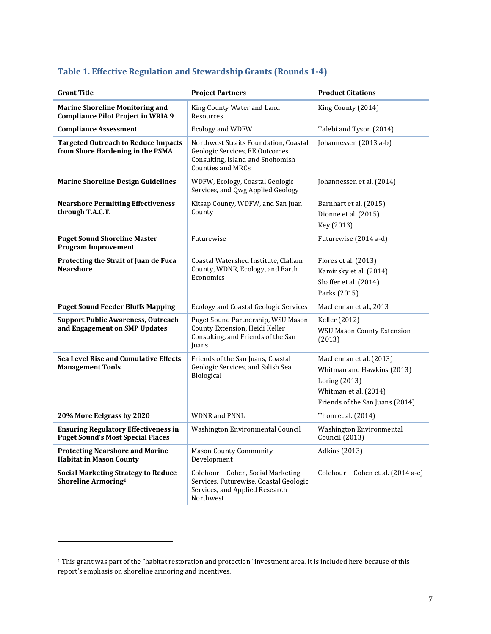| <b>Grant Title</b>                                                                      | <b>Project Partners</b>                                                                                                                 | <b>Product Citations</b>                                                                                                           |
|-----------------------------------------------------------------------------------------|-----------------------------------------------------------------------------------------------------------------------------------------|------------------------------------------------------------------------------------------------------------------------------------|
| <b>Marine Shoreline Monitoring and</b><br><b>Compliance Pilot Project in WRIA 9</b>     | King County Water and Land<br>Resources                                                                                                 | King County (2014)                                                                                                                 |
| <b>Compliance Assessment</b>                                                            | Ecology and WDFW                                                                                                                        | Talebi and Tyson (2014)                                                                                                            |
| <b>Targeted Outreach to Reduce Impacts</b><br>from Shore Hardening in the PSMA          | Northwest Straits Foundation, Coastal<br>Geologic Services, EE Outcomes<br>Consulting, Island and Snohomish<br><b>Counties and MRCs</b> | Johannessen (2013 a-b)                                                                                                             |
| <b>Marine Shoreline Design Guidelines</b>                                               | WDFW, Ecology, Coastal Geologic<br>Services, and Qwg Applied Geology                                                                    | Johannessen et al. (2014)                                                                                                          |
| <b>Nearshore Permitting Effectiveness</b><br>through T.A.C.T.                           | Kitsap County, WDFW, and San Juan<br>County                                                                                             | Barnhart et al. (2015)<br>Dionne et al. (2015)<br>Key (2013)                                                                       |
| <b>Puget Sound Shoreline Master</b><br><b>Program Improvement</b>                       | Futurewise                                                                                                                              | Futurewise (2014 a-d)                                                                                                              |
| Protecting the Strait of Juan de Fuca<br><b>Nearshore</b>                               | Coastal Watershed Institute, Clallam<br>County, WDNR, Ecology, and Earth<br>Economics                                                   | Flores et al. (2013)<br>Kaminsky et al. (2014)<br>Shaffer et al. (2014)<br>Parks (2015)                                            |
| <b>Puget Sound Feeder Bluffs Mapping</b>                                                | <b>Ecology and Coastal Geologic Services</b>                                                                                            | MacLennan et al., 2013                                                                                                             |
| <b>Support Public Awareness, Outreach</b><br>and Engagement on SMP Updates              | Puget Sound Partnership, WSU Mason<br>County Extension, Heidi Keller<br>Consulting, and Friends of the San<br>Juans                     | Keller (2012)<br><b>WSU Mason County Extension</b><br>(2013)                                                                       |
| Sea Level Rise and Cumulative Effects<br><b>Management Tools</b>                        | Friends of the San Juans, Coastal<br>Geologic Services, and Salish Sea<br>Biological                                                    | MacLennan et al. (2013)<br>Whitman and Hawkins (2013)<br>Loring (2013)<br>Whitman et al. (2014)<br>Friends of the San Juans (2014) |
| 20% More Eelgrass by 2020                                                               | <b>WDNR</b> and PNNL                                                                                                                    | Thom et al. (2014)                                                                                                                 |
| <b>Ensuring Regulatory Effectiveness in</b><br><b>Puget Sound's Most Special Places</b> | Washington Environmental Council                                                                                                        | Washington Environmental<br><b>Council</b> (2013)                                                                                  |
| <b>Protecting Nearshore and Marine</b><br><b>Habitat in Mason County</b>                | <b>Mason County Community</b><br>Development                                                                                            | <b>Adkins</b> (2013)                                                                                                               |
| <b>Social Marketing Strategy to Reduce</b><br>Shoreline Armoring <sup>1</sup>           | Colehour + Cohen, Social Marketing<br>Services, Futurewise, Coastal Geologic<br>Services, and Applied Research<br>Northwest             | Colehour + Cohen et al. (2014 a-e)                                                                                                 |

## **Table 1. Effective Regulation and Stewardship Grants (Rounds 1-4)**

 $\overline{a}$ 

<sup>1</sup> This grant was part of the "habitat restoration and protection" investment area. It is included here because of this report's emphasis on shoreline armoring and incentives.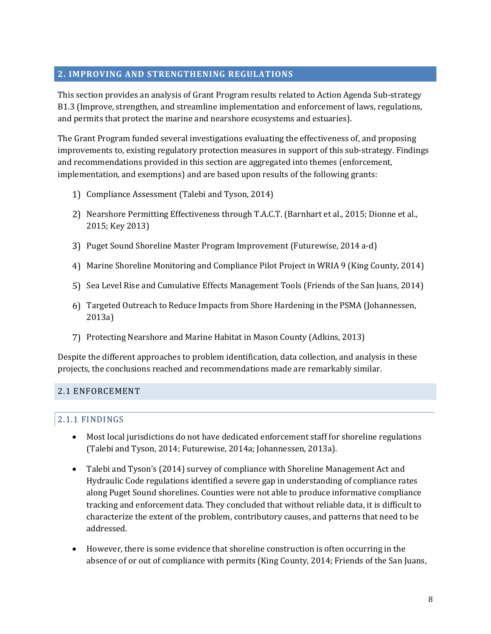## **2. IMPROVING AND STRENGTHENING REGULATIONS**

This section provides an analysis of Grant Program results related to Action Agenda Sub-strategy B1.3 (Improve, strengthen, and streamline implementation and enforcement of laws, regulations, and permits that protect the marine and nearshore ecosystems and estuaries).

The Grant Program funded several investigations evaluating the effectiveness of, and proposing improvements to, existing regulatory protection measures in support of this sub-strategy. Findings and recommendations provided in this section are aggregated into themes (enforcement, implementation, and exemptions) and are based upon results of the following grants:

- Compliance Assessment (Talebi and Tyson, 2014)
- Nearshore Permitting Effectiveness through T.A.C.T. (Barnhart et al., 2015; Dionne et al., 2015; Key 2013)
- Puget Sound Shoreline Master Program Improvement (Futurewise, 2014 a-d)
- Marine Shoreline Monitoring and Compliance Pilot Project in WRIA 9 (King County, 2014)
- Sea Level Rise and Cumulative Effects Management Tools (Friends of the San Juans, 2014)
- Targeted Outreach to Reduce Impacts from Shore Hardening in the PSMA (Johannessen, 2013a)
- Protecting Nearshore and Marine Habitat in Mason County (Adkins, 2013)

Despite the different approaches to problem identification, data collection, and analysis in these projects, the conclusions reached and recommendations made are remarkably similar.

#### 2.1 ENFORCEMENT

#### 2.1.1 FINDINGS

- Most local jurisdictions do not have dedicated enforcement staff for shoreline regulations (Talebi and Tyson, 2014; Futurewise, 2014a; Johannessen, 2013a).
- Talebi and Tyson's (2014) survey of compliance with Shoreline Management Act and Hydraulic Code regulations identified a severe gap in understanding of compliance rates along Puget Sound shorelines. Counties were not able to produce informative compliance tracking and enforcement data. They concluded that without reliable data, it is difficult to characterize the extent of the problem, contributory causes, and patterns that need to be addressed.
- However, there is some evidence that shoreline construction is often occurring in the absence of or out of compliance with permits (King County, 2014; Friends of the San Juans,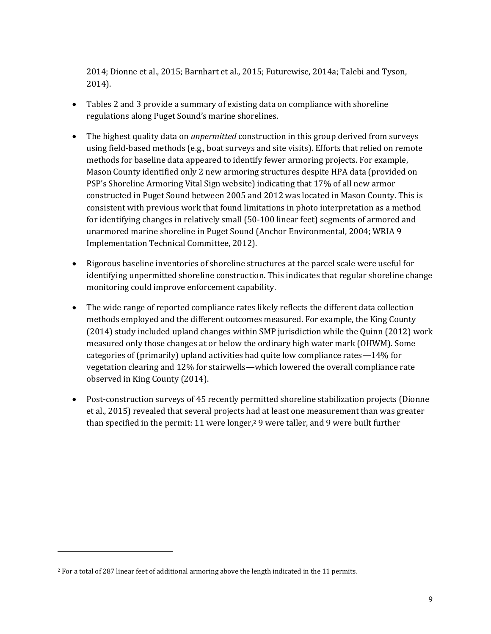2014; Dionne et al., 2015; Barnhart et al., 2015; Futurewise, 2014a; Talebi and Tyson, 2014).

- Tables 2 and 3 provide a summary of existing data on compliance with shoreline regulations along Puget Sound's marine shorelines.
- The highest quality data on *unpermitted* construction in this group derived from surveys using field-based methods (e.g., boat surveys and site visits). Efforts that relied on remote methods for baseline data appeared to identify fewer armoring projects. For example, Mason County identified only 2 new armoring structures despite HPA data (provided on PSP's Shoreline Armoring Vital Sign website) indicating that 17% of all new armor constructed in Puget Sound between 2005 and 2012 was located in Mason County. This is consistent with previous work that found limitations in photo interpretation as a method for identifying changes in relatively small (50-100 linear feet) segments of armored and unarmored marine shoreline in Puget Sound (Anchor Environmental, 2004; WRIA 9 Implementation Technical Committee, 2012).
- Rigorous baseline inventories of shoreline structures at the parcel scale were useful for identifying unpermitted shoreline construction. This indicates that regular shoreline change monitoring could improve enforcement capability.
- The wide range of reported compliance rates likely reflects the different data collection methods employed and the different outcomes measured. For example, the King County (2014) study included upland changes within SMP jurisdiction while the Quinn (2012) work measured only those changes at or below the ordinary high water mark (OHWM). Some categories of (primarily) upland activities had quite low compliance rates—14% for vegetation clearing and 12% for stairwells—which lowered the overall compliance rate observed in King County (2014).
- Post-construction surveys of 45 recently permitted shoreline stabilization projects (Dionne et al., 2015) revealed that several projects had at least one measurement than was greater than specified in the permit: 11 were longer,<sup>2</sup> 9 were taller, and 9 were built further

 $\overline{a}$ 

<sup>2</sup> For a total of 287 linear feet of additional armoring above the length indicated in the 11 permits.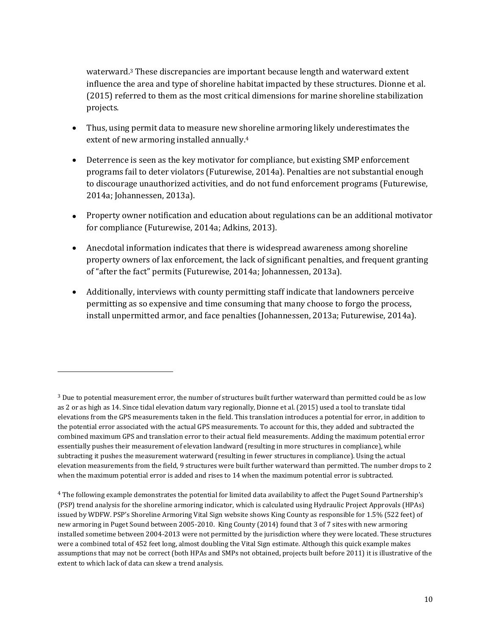waterward.<sup>3</sup> These discrepancies are important because length and waterward extent influence the area and type of shoreline habitat impacted by these structures. Dionne et al. (2015) referred to them as the most critical dimensions for marine shoreline stabilization projects.

- Thus, using permit data to measure new shoreline armoring likely underestimates the extent of new armoring installed annually.<sup>4</sup>
- Deterrence is seen as the key motivator for compliance, but existing SMP enforcement programs fail to deter violators (Futurewise, 2014a). Penalties are not substantial enough to discourage unauthorized activities, and do not fund enforcement programs (Futurewise, 2014a; Johannessen, 2013a).
- Property owner notification and education about regulations can be an additional motivator for compliance (Futurewise, 2014a; Adkins, 2013).
- Anecdotal information indicates that there is widespread awareness among shoreline property owners of lax enforcement, the lack of significant penalties, and frequent granting of "after the fact" permits (Futurewise, 2014a; Johannessen, 2013a).
- Additionally, interviews with county permitting staff indicate that landowners perceive permitting as so expensive and time consuming that many choose to forgo the process, install unpermitted armor, and face penalties (Johannessen, 2013a; Futurewise, 2014a).

 $\overline{a}$ 

 $3$  Due to potential measurement error, the number of structures built further waterward than permitted could be as low as 2 or as high as 14. Since tidal elevation datum vary regionally, Dionne et al. (2015) used a tool to translate tidal elevations from the GPS measurements taken in the field. This translation introduces a potential for error, in addition to the potential error associated with the actual GPS measurements. To account for this, they added and subtracted the combined maximum GPS and translation error to their actual field measurements. Adding the maximum potential error essentially pushes their measurement of elevation landward (resulting in more structures in compliance), while subtracting it pushes the measurement waterward (resulting in fewer structures in compliance). Using the actual elevation measurements from the field, 9 structures were built further waterward than permitted. The number drops to 2 when the maximum potential error is added and rises to 14 when the maximum potential error is subtracted.

<sup>4</sup> The following example demonstrates the potential for limited data availability to affect the Puget Sound Partnership's (PSP) trend analysis for the shoreline armoring indicator, which is calculated using Hydraulic Project Approvals (HPAs) issued by WDFW. PSP's Shoreline Armoring Vital Sign website shows King County as responsible for 1.5% (522 feet) of new armoring in Puget Sound between 2005-2010. King County (2014) found that 3 of 7 sites with new armoring installed sometime between 2004-2013 were not permitted by the jurisdiction where they were located. These structures were a combined total of 452 feet long, almost doubling the Vital Sign estimate. Although this quick example makes assumptions that may not be correct (both HPAs and SMPs not obtained, projects built before 2011) it is illustrative of the extent to which lack of data can skew a trend analysis.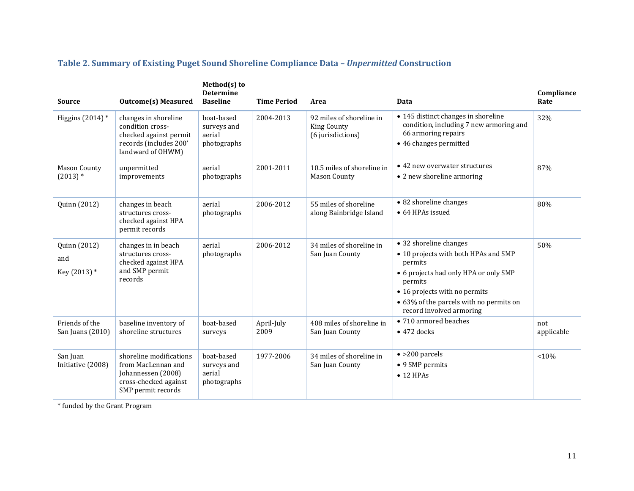| <b>Source</b>                       | <b>Outcome(s) Measured</b>                                                                                         | Method(s) to<br><b>Determine</b><br><b>Baseline</b> | <b>Time Period</b> | Area                                                                | Data                                                                                                                                                                                                                                  | Compliance<br>Rate |
|-------------------------------------|--------------------------------------------------------------------------------------------------------------------|-----------------------------------------------------|--------------------|---------------------------------------------------------------------|---------------------------------------------------------------------------------------------------------------------------------------------------------------------------------------------------------------------------------------|--------------------|
| Higgins $(2014)$ *                  | changes in shoreline<br>condition cross-<br>checked against permit<br>records (includes 200'<br>landward of OHWM)  | boat-based<br>surveys and<br>aerial<br>photographs  | 2004-2013          | 92 miles of shoreline in<br><b>King County</b><br>(6 jurisdictions) | • 145 distinct changes in shoreline<br>condition, including 7 new armoring and<br>66 armoring repairs<br>• 46 changes permitted                                                                                                       | 32%                |
| Mason County<br>$(2013)*$           | unpermitted<br>improvements                                                                                        | aerial<br>photographs                               | 2001-2011          | 10.5 miles of shoreline in<br><b>Mason County</b>                   | • 42 new overwater structures<br>• 2 new shoreline armoring                                                                                                                                                                           | 87%                |
| Quinn (2012)                        | changes in beach<br>structures cross-<br>checked against HPA<br>permit records                                     | aerial<br>photographs                               | 2006-2012          | 55 miles of shoreline<br>along Bainbridge Island                    | • 82 shoreline changes<br>• 64 HPAs issued                                                                                                                                                                                            | 80%                |
| Quinn (2012)<br>and<br>Key (2013) * | changes in in beach<br>structures cross-<br>checked against HPA<br>and SMP permit<br>records                       | aerial<br>photographs                               | 2006-2012          | 34 miles of shoreline in<br>San Juan County                         | • 32 shoreline changes<br>• 10 projects with both HPAs and SMP<br>permits<br>• 6 projects had only HPA or only SMP<br>permits<br>• 16 projects with no permits<br>• 63% of the parcels with no permits on<br>record involved armoring | 50%                |
| Friends of the<br>San Juans (2010)  | baseline inventory of<br>shoreline structures                                                                      | boat-based<br>surveys                               | April-July<br>2009 | 408 miles of shoreline in<br>San Juan County                        | • 710 armored beaches<br>$\bullet$ 472 docks                                                                                                                                                                                          | not<br>applicable  |
| San Juan<br>Initiative (2008)       | shoreline modifications<br>from MacLennan and<br>Johannessen (2008)<br>cross-checked against<br>SMP permit records | boat-based<br>surveys and<br>aerial<br>photographs  | 1977-2006          | 34 miles of shoreline in<br>San Juan County                         | $\bullet$ >200 parcels<br>• 9 SMP permits<br>$\bullet$ 12 HPAs                                                                                                                                                                        | <10%               |

## **Table 2. Summary of Existing Puget Sound Shoreline Compliance Data –** *Unpermitted* **Construction**

\* funded by the Grant Program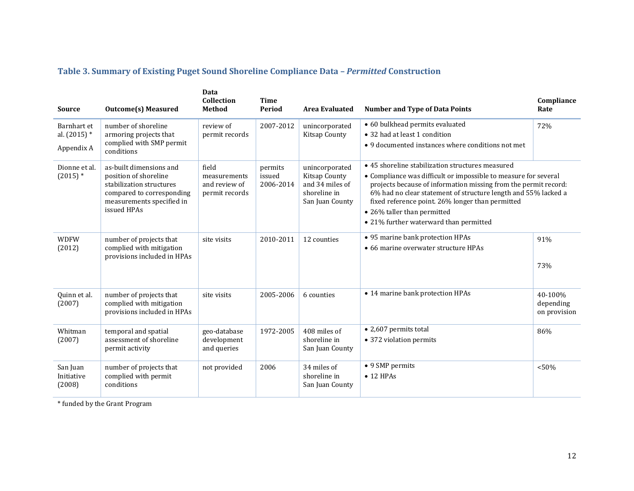## **Table 3. Summary of Existing Puget Sound Shoreline Compliance Data –** *Permitted* **Construction**

| <b>Source</b>                               | <b>Outcome(s) Measured</b>                                                                                                                            | Data<br>Collection<br><b>Method</b>                      | <b>Time</b><br>Period          | <b>Area Evaluated</b>                                                                 | <b>Number and Type of Data Points</b>                                                                                                                                                                                                                                                                                                                                                 | Compliance<br>Rate                   |
|---------------------------------------------|-------------------------------------------------------------------------------------------------------------------------------------------------------|----------------------------------------------------------|--------------------------------|---------------------------------------------------------------------------------------|---------------------------------------------------------------------------------------------------------------------------------------------------------------------------------------------------------------------------------------------------------------------------------------------------------------------------------------------------------------------------------------|--------------------------------------|
| Barnhart et<br>al. $(2015)$ *<br>Appendix A | number of shoreline<br>armoring projects that<br>complied with SMP permit<br>conditions                                                               | review of<br>permit records                              | 2007-2012                      | unincorporated<br><b>Kitsap County</b>                                                | • 60 bulkhead permits evaluated<br>• 32 had at least 1 condition<br>• 9 documented instances where conditions not met                                                                                                                                                                                                                                                                 | 72%                                  |
| Dionne et al.<br>$(2015)*$                  | as-built dimensions and<br>position of shoreline<br>stabilization structures<br>compared to corresponding<br>measurements specified in<br>issued HPAs | field<br>measurements<br>and review of<br>permit records | permits<br>issued<br>2006-2014 | unincorporated<br>Kitsap County<br>and 34 miles of<br>shoreline in<br>San Juan County | • 45 shoreline stabilization structures measured<br>• Compliance was difficult or impossible to measure for several<br>projects because of information missing from the permit record:<br>6% had no clear statement of structure length and 55% lacked a<br>fixed reference point. 26% longer than permitted<br>• 26% taller than permitted<br>• 21% further waterward than permitted |                                      |
| <b>WDFW</b><br>(2012)                       | number of projects that<br>complied with mitigation<br>provisions included in HPAs                                                                    | site visits                                              | 2010-2011                      | 12 counties                                                                           | • 95 marine bank protection HPAs<br>• 66 marine overwater structure HPAs                                                                                                                                                                                                                                                                                                              | 91%<br>73%                           |
| Quinn et al.<br>(2007)                      | number of projects that<br>complied with mitigation<br>provisions included in HPAs                                                                    | site visits                                              | 2005-2006                      | 6 counties                                                                            | • 14 marine bank protection HPAs                                                                                                                                                                                                                                                                                                                                                      | 40-100%<br>depending<br>on provision |
| Whitman<br>(2007)                           | temporal and spatial<br>assessment of shoreline<br>permit activity                                                                                    | geo-database<br>development<br>and queries               | 1972-2005                      | 408 miles of<br>shoreline in<br>San Juan County                                       | • 2,607 permits total<br>• 372 violation permits                                                                                                                                                                                                                                                                                                                                      | 86%                                  |
| San Juan<br>Initiative<br>(2008)            | number of projects that<br>complied with permit<br>conditions                                                                                         | not provided                                             | 2006                           | 34 miles of<br>shoreline in<br>San Juan County                                        | • 9 SMP permits<br>$\bullet$ 12 HPAs                                                                                                                                                                                                                                                                                                                                                  | < 50%                                |

\* funded by the Grant Program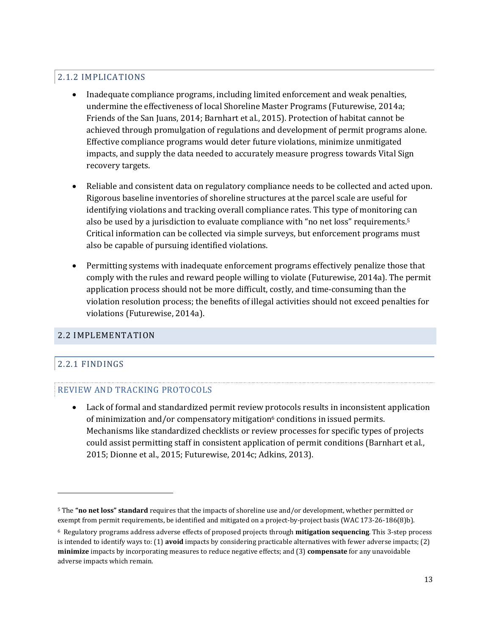## 2.1.2 IMPLICATIONS

- Inadequate compliance programs, including limited enforcement and weak penalties, undermine the effectiveness of local Shoreline Master Programs (Futurewise, 2014a; Friends of the San Juans, 2014; Barnhart et al., 2015). Protection of habitat cannot be achieved through promulgation of regulations and development of permit programs alone. Effective compliance programs would deter future violations, minimize unmitigated impacts, and supply the data needed to accurately measure progress towards Vital Sign recovery targets.
- Reliable and consistent data on regulatory compliance needs to be collected and acted upon. Rigorous baseline inventories of shoreline structures at the parcel scale are useful for identifying violations and tracking overall compliance rates. This type of monitoring can also be used by a jurisdiction to evaluate compliance with "no net loss" requirements.<sup>5</sup> Critical information can be collected via simple surveys, but enforcement programs must also be capable of pursuing identified violations.
- Permitting systems with inadequate enforcement programs effectively penalize those that comply with the rules and reward people willing to violate (Futurewise, 2014a). The permit application process should not be more difficult, costly, and time-consuming than the violation resolution process; the benefits of illegal activities should not exceed penalties for violations (Futurewise, 2014a).

#### 2.2 IMPLEMENTATION

## 2.2.1 FINDINGS

 $\overline{a}$ 

#### REVIEW AND TRACKING PROTOCOLS

 Lack of formal and standardized permit review protocols results in inconsistent application of minimization and/or compensatory mitigation<sup>6</sup> conditions in issued permits. Mechanisms like standardized checklists or review processes for specific types of projects could assist permitting staff in consistent application of permit conditions (Barnhart et al., 2015; Dionne et al., 2015; Futurewise, 2014c; Adkins, 2013).

<sup>5</sup> The **"no net loss" standard** requires that the impacts of shoreline use and/or development, whether permitted or exempt from permit requirements, be identified and mitigated on a project-by-project basis (WAC 173-26-186(8)b).

<sup>6</sup> Regulatory programs address adverse effects of proposed projects through **mitigation sequencing**. This 3-step process is intended to identify ways to: (1) **avoid** impacts by considering practicable alternatives with fewer adverse impacts; (2) **minimize** impacts by incorporating measures to reduce negative effects; and (3) **compensate** for any unavoidable adverse impacts which remain.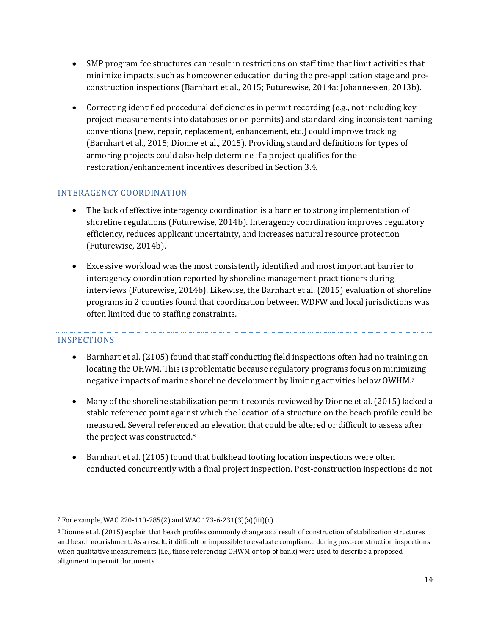- SMP program fee structures can result in restrictions on staff time that limit activities that minimize impacts, such as homeowner education during the pre-application stage and preconstruction inspections (Barnhart et al., 2015; Futurewise, 2014a; Johannessen, 2013b).
- Correcting identified procedural deficiencies in permit recording (e.g., not including key project measurements into databases or on permits) and standardizing inconsistent naming conventions (new, repair, replacement, enhancement, etc.) could improve tracking (Barnhart et al., 2015; Dionne et al., 2015). Providing standard definitions for types of armoring projects could also help determine if a project qualifies for the restoration/enhancement incentives described in Section 3.4.

## INTERAGENCY COORDINATION

- The lack of effective interagency coordination is a barrier to strong implementation of shoreline regulations (Futurewise, 2014b). Interagency coordination improves regulatory efficiency, reduces applicant uncertainty, and increases natural resource protection (Futurewise, 2014b).
- Excessive workload was the most consistently identified and most important barrier to interagency coordination reported by shoreline management practitioners during interviews (Futurewise, 2014b). Likewise, the Barnhart et al. (2015) evaluation of shoreline programs in 2 counties found that coordination between WDFW and local jurisdictions was often limited due to staffing constraints.

#### INSPECTIONS

 $\overline{a}$ 

- Barnhart et al. (2105) found that staff conducting field inspections often had no training on locating the OHWM. This is problematic because regulatory programs focus on minimizing negative impacts of marine shoreline development by limiting activities below OWHM. 7
- Many of the shoreline stabilization permit records reviewed by Dionne et al. (2015) lacked a stable reference point against which the location of a structure on the beach profile could be measured. Several referenced an elevation that could be altered or difficult to assess after the project was constructed.<sup>8</sup>
- Barnhart et al. (2105) found that bulkhead footing location inspections were often conducted concurrently with a final project inspection. Post-construction inspections do not

<sup>7</sup> For example, WAC 220-110-285(2) and WAC 173-6-231(3)(a)(iii)(c).

<sup>8</sup> Dionne et al. (2015) explain that beach profiles commonly change as a result of construction of stabilization structures and beach nourishment. As a result, it difficult or impossible to evaluate compliance during post-construction inspections when qualitative measurements (i.e., those referencing OHWM or top of bank) were used to describe a proposed alignment in permit documents.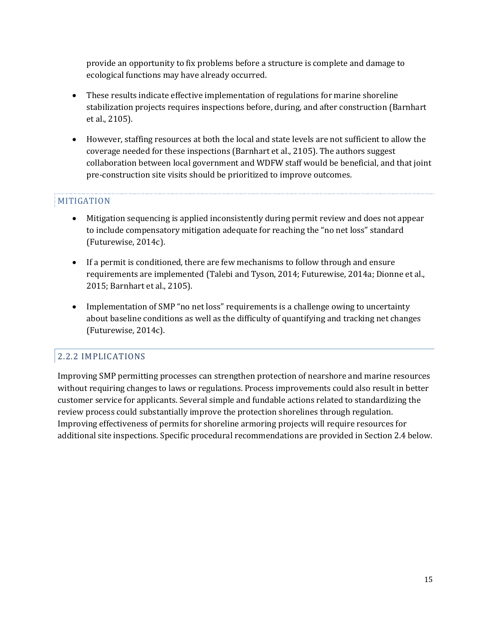provide an opportunity to fix problems before a structure is complete and damage to ecological functions may have already occurred.

- These results indicate effective implementation of regulations for marine shoreline stabilization projects requires inspections before, during, and after construction (Barnhart et al., 2105).
- However, staffing resources at both the local and state levels are not sufficient to allow the coverage needed for these inspections (Barnhart et al., 2105). The authors suggest collaboration between local government and WDFW staff would be beneficial, and that joint pre-construction site visits should be prioritized to improve outcomes.

## MITIGATION

- Mitigation sequencing is applied inconsistently during permit review and does not appear to include compensatory mitigation adequate for reaching the "no net loss" standard (Futurewise, 2014c).
- If a permit is conditioned, there are few mechanisms to follow through and ensure requirements are implemented (Talebi and Tyson, 2014; Futurewise, 2014a; Dionne et al., 2015; Barnhart et al., 2105).
- Implementation of SMP "no net loss" requirements is a challenge owing to uncertainty about baseline conditions as well as the difficulty of quantifying and tracking net changes (Futurewise, 2014c).

## 2.2.2 IMPLICATIONS

Improving SMP permitting processes can strengthen protection of nearshore and marine resources without requiring changes to laws or regulations. Process improvements could also result in better customer service for applicants. Several simple and fundable actions related to standardizing the review process could substantially improve the protection shorelines through regulation. Improving effectiveness of permits for shoreline armoring projects will require resources for additional site inspections. Specific procedural recommendations are provided in Section 2.4 below.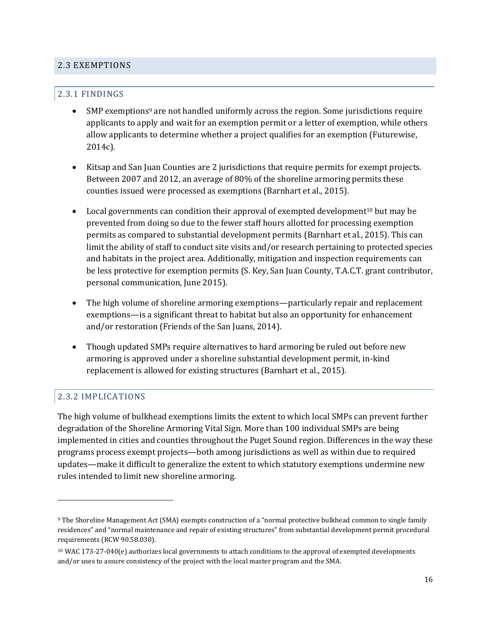#### 2.3 EXEMPTIONS

#### 2.3.1 FINDINGS

- SMP exemptions<sup>9</sup> are not handled uniformly across the region. Some jurisdictions require applicants to apply and wait for an exemption permit or a letter of exemption, while others allow applicants to determine whether a project qualifies for an exemption (Futurewise, 2014c).
- Kitsap and San Juan Counties are 2 jurisdictions that require permits for exempt projects. Between 2007 and 2012, an average of 80% of the shoreline armoring permits these counties issued were processed as exemptions (Barnhart et al., 2015).
- Local governments can condition their approval of exempted development<sup>10</sup> but may be prevented from doing so due to the fewer staff hours allotted for processing exemption permits as compared to substantial development permits (Barnhart et al., 2015). This can limit the ability of staff to conduct site visits and/or research pertaining to protected species and habitats in the project area. Additionally, mitigation and inspection requirements can be less protective for exemption permits (S. Key, San Juan County, T.A.C.T. grant contributor, personal communication, June 2015).
- The high volume of shoreline armoring exemptions—particularly repair and replacement exemptions—is a significant threat to habitat but also an opportunity for enhancement and/or restoration (Friends of the San Juans, 2014).
- Though updated SMPs require alternatives to hard armoring be ruled out before new armoring is approved under a shoreline substantial development permit, in-kind replacement is allowed for existing structures (Barnhart et al., 2015).

#### 2.3.2 IMPLICATIONS

 $\overline{a}$ 

The high volume of bulkhead exemptions limits the extent to which local SMPs can prevent further degradation of the Shoreline Armoring Vital Sign. More than 100 individual SMPs are being implemented in cities and counties throughout the Puget Sound region. Differences in the way these programs process exempt projects—both among jurisdictions as well as within due to required updates—make it difficult to generalize the extent to which statutory exemptions undermine new rules intended to limit new shoreline armoring.

<sup>9</sup> The Shoreline Management Act (SMA) exempts construction of a "normal protective bulkhead common to single family residences" and "normal maintenance and repair of existing structures" from substantial development permit procedural requirements [\(RCW 90.58.030\)](http://apps.leg.wa.gov/rcw/default.aspx?cite=90.58.030).

 and/or uses to assure consistency of the project with the local master program and the SMA.<sup>10</sup> WAC 173-27-040(e) authorizes local governments to attach conditions to the approval of exempted developments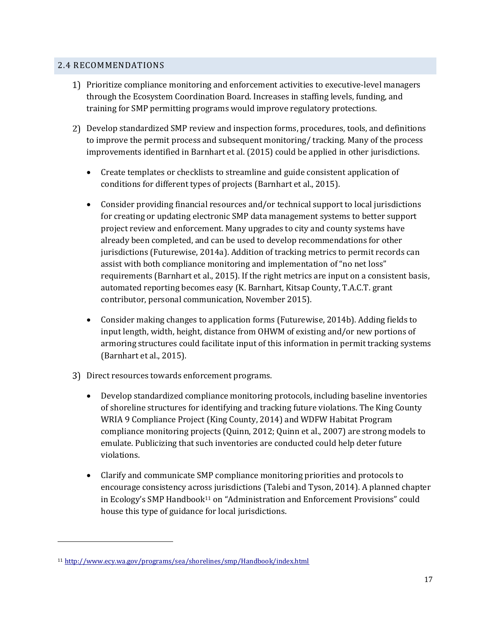#### 2.4 RECOMMENDATIONS

- Prioritize compliance monitoring and enforcement activities to executive-level managers through the Ecosystem Coordination Board. Increases in staffing levels, funding, and training for SMP permitting programs would improve regulatory protections.
- Develop standardized SMP review and inspection forms, procedures, tools, and definitions to improve the permit process and subsequent monitoring/ tracking. Many of the process improvements identified in Barnhart et al. (2015) could be applied in other jurisdictions.
	- Create templates or checklists to streamline and guide consistent application of conditions for different types of projects (Barnhart et al., 2015).
	- Consider providing financial resources and/or technical support to local jurisdictions for creating or updating electronic SMP data management systems to better support project review and enforcement. Many upgrades to city and county systems have already been completed, and can be used to develop recommendations for other jurisdictions (Futurewise, 2014a). Addition of tracking metrics to permit records can assist with both compliance monitoring and implementation of "no net loss" requirements (Barnhart et al., 2015). If the right metrics are input on a consistent basis, automated reporting becomes easy (K. Barnhart, Kitsap County, T.A.C.T. grant contributor, personal communication, November 2015).
	- Consider making changes to application forms (Futurewise, 2014b). Adding fields to input length, width, height, distance from OHWM of existing and/or new portions of armoring structures could facilitate input of this information in permit tracking systems (Barnhart et al., 2015).
- Direct resources towards enforcement programs.
	- Develop standardized compliance monitoring protocols, including baseline inventories of shoreline structures for identifying and tracking future violations. The King County WRIA 9 Compliance Project (King County, 2014) and WDFW Habitat Program compliance monitoring projects (Quinn, 2012; Quinn et al., 2007) are strong models to emulate. Publicizing that such inventories are conducted could help deter future violations.
	- Clarify and communicate SMP compliance monitoring priorities and protocols to encourage consistency across jurisdictions (Talebi and Tyson, 2014). A planned chapter in Ecology's SMP Handbook<sup>11</sup> on "Administration and Enforcement Provisions" could house this type of guidance for local jurisdictions.

 $\overline{a}$ 

<sup>11</sup> <http://www.ecy.wa.gov/programs/sea/shorelines/smp/Handbook/index.html>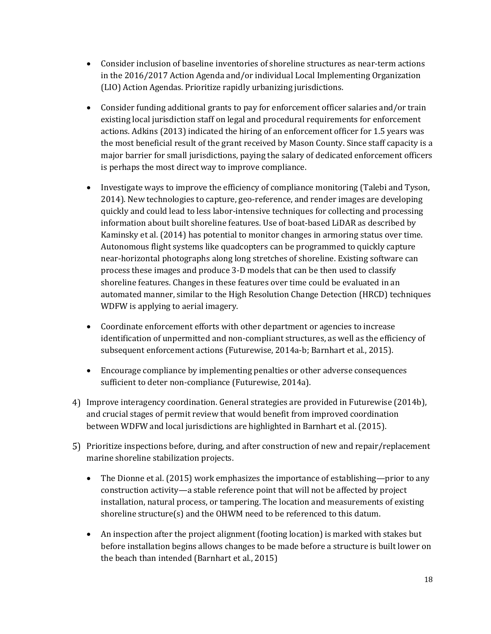- Consider inclusion of baseline inventories of shoreline structures as near-term actions in the 2016/2017 Action Agenda and/or individual Local Implementing Organization (LIO) Action Agendas. Prioritize rapidly urbanizing jurisdictions.
- Consider funding additional grants to pay for enforcement officer salaries and/or train existing local jurisdiction staff on legal and procedural requirements for enforcement actions. Adkins (2013) indicated the hiring of an enforcement officer for 1.5 years was the most beneficial result of the grant received by Mason County. Since staff capacity is a major barrier for small jurisdictions, paying the salary of dedicated enforcement officers is perhaps the most direct way to improve compliance.
- Investigate ways to improve the efficiency of compliance monitoring (Talebi and Tyson, 2014). New technologies to capture, geo-reference, and render images are developing quickly and could lead to less labor-intensive techniques for collecting and processing information about built shoreline features. Use of boat-based LiDAR as described by Kaminsky et al. (2014) has potential to monitor changes in armoring status over time. Autonomous flight systems like quadcopters can be programmed to quickly capture near-horizontal photographs along long stretches of shoreline. Existing software can process these images and produce 3-D models that can be then used to classify shoreline features. Changes in these features over time could be evaluated in an automated manner, similar to the High Resolution Change Detection (HRCD) techniques WDFW is applying to aerial imagery.
- Coordinate enforcement efforts with other department or agencies to increase identification of unpermitted and non-compliant structures, as well as the efficiency of subsequent enforcement actions (Futurewise, 2014a-b; Barnhart et al., 2015).
- Encourage compliance by implementing penalties or other adverse consequences sufficient to deter non-compliance (Futurewise, 2014a).
- Improve interagency coordination. General strategies are provided in Futurewise (2014b), and crucial stages of permit review that would benefit from improved coordination between WDFW and local jurisdictions are highlighted in Barnhart et al. (2015).
- Prioritize inspections before, during, and after construction of new and repair/replacement marine shoreline stabilization projects.
	- The Dionne et al. (2015) work emphasizes the importance of establishing—prior to any construction activity—a stable reference point that will not be affected by project installation, natural process, or tampering. The location and measurements of existing shoreline structure(s) and the OHWM need to be referenced to this datum.
	- An inspection after the project alignment (footing location) is marked with stakes but before installation begins allows changes to be made before a structure is built lower on the beach than intended (Barnhart et al., 2015)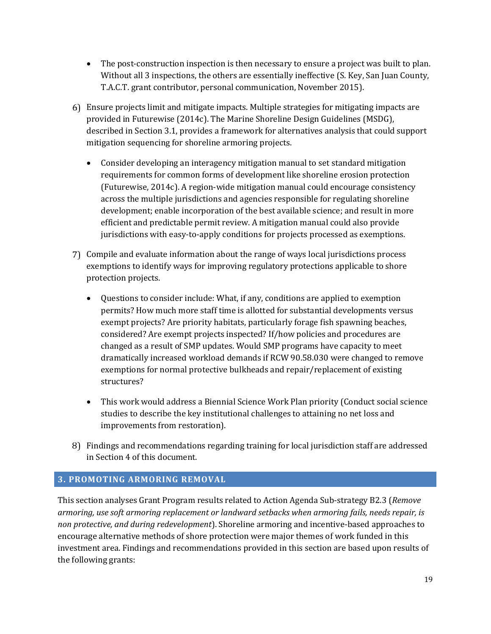- The post-construction inspection is then necessary to ensure a project was built to plan. Without all 3 inspections, the others are essentially ineffective (S. Key, San Juan County, T.A.C.T. grant contributor, personal communication, November 2015).
- Ensure projects limit and mitigate impacts. Multiple strategies for mitigating impacts are provided in Futurewise (2014c). The Marine Shoreline Design Guidelines (MSDG), described in Section 3.1, provides a framework for alternatives analysis that could support mitigation sequencing for shoreline armoring projects.
	- Consider developing an interagency mitigation manual to set standard mitigation requirements for common forms of development like shoreline erosion protection (Futurewise, 2014c). A region-wide mitigation manual could encourage consistency across the multiple jurisdictions and agencies responsible for regulating shoreline development; enable incorporation of the best available science; and result in more efficient and predictable permit review. A mitigation manual could also provide jurisdictions with easy-to-apply conditions for projects processed as exemptions.
- Compile and evaluate information about the range of ways local jurisdictions process exemptions to identify ways for improving regulatory protections applicable to shore protection projects.
	- Questions to consider include: What, if any, conditions are applied to exemption permits? How much more staff time is allotted for substantial developments versus exempt projects? Are priority habitats, particularly forage fish spawning beaches, considered? Are exempt projects inspected? If/how policies and procedures are changed as a result of SMP updates. Would SMP programs have capacity to meet dramatically increased workload demands if RCW 90.58.030 were changed to remove exemptions for normal protective bulkheads and repair/replacement of existing structures?
	- This work would address a Biennial Science Work Plan priority (Conduct social science studies to describe the key institutional challenges to attaining no net loss and improvements from restoration).
- Findings and recommendations regarding training for local jurisdiction staff are addressed in Section 4 of this document.

## **3. PROMOTING ARMORING REMOVAL**

This section analyses Grant Program results related to Action Agenda Sub-strategy B2.3 (*Remove armoring, use soft armoring replacement or landward setbacks when armoring fails, needs repair, is non protective, and during redevelopment*). Shoreline armoring and incentive-based approaches to encourage alternative methods of shore protection were major themes of work funded in this investment area. Findings and recommendations provided in this section are based upon results of the following grants: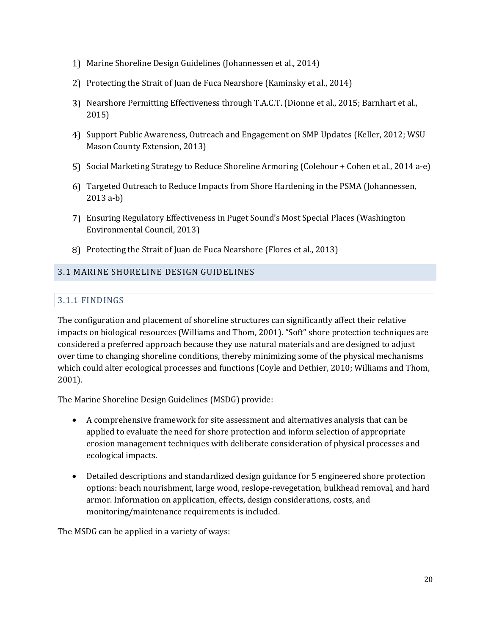- Marine Shoreline Design Guidelines (Johannessen et al., 2014)
- 2) Protecting the Strait of Juan de Fuca Nearshore (Kaminsky et al., 2014)
- Nearshore Permitting Effectiveness through T.A.C.T. (Dionne et al., 2015; Barnhart et al., 2015)
- Support Public Awareness, Outreach and Engagement on SMP Updates (Keller, 2012; WSU Mason County Extension, 2013)
- 5) Social Marketing Strategy to Reduce Shoreline Armoring (Colehour + Cohen et al., 2014 a-e)
- Targeted Outreach to Reduce Impacts from Shore Hardening in the PSMA (Johannessen, 2013 a-b)
- Ensuring Regulatory Effectiveness in Puget Sound's Most Special Places (Washington Environmental Council, 2013)
- 8) Protecting the Strait of Juan de Fuca Nearshore (Flores et al., 2013)

#### 3.1 MARINE SHORELINE DESIGN GUIDELINES

#### 3.1.1 FINDINGS

The configuration and placement of shoreline structures can significantly affect their relative impacts on biological resources (Williams and Thom, 2001). "Soft" shore protection techniques are considered a preferred approach because they use natural materials and are designed to adjust over time to changing shoreline conditions, thereby minimizing some of the physical mechanisms which could alter ecological processes and functions (Coyle and Dethier, 2010; Williams and Thom, 2001).

The Marine Shoreline Design Guidelines (MSDG) provide:

- A comprehensive framework for site assessment and alternatives analysis that can be applied to evaluate the need for shore protection and inform selection of appropriate erosion management techniques with deliberate consideration of physical processes and ecological impacts.
- Detailed descriptions and standardized design guidance for 5 engineered shore protection options: beach nourishment, large wood, reslope-revegetation, bulkhead removal, and hard armor. Information on application, effects, design considerations, costs, and monitoring/maintenance requirements is included.

The MSDG can be applied in a variety of ways: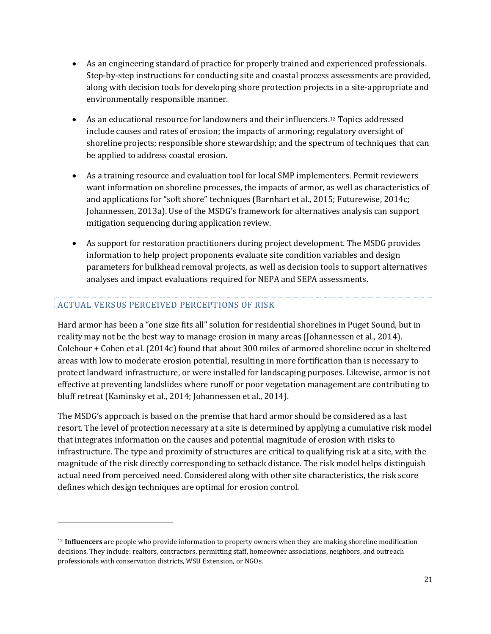- As an engineering standard of practice for properly trained and experienced professionals. Step-by-step instructions for conducting site and coastal process assessments are provided, along with decision tools for developing shore protection projects in a site-appropriate and environmentally responsible manner.
- As an educational resource for landowners and their influencers.<sup>12</sup> Topics addressed include causes and rates of erosion; the impacts of armoring; regulatory oversight of shoreline projects; responsible shore stewardship; and the spectrum of techniques that can be applied to address coastal erosion.
- As a training resource and evaluation tool for local SMP implementers. Permit reviewers want information on shoreline processes, the impacts of armor, as well as characteristics of and applications for "soft shore" techniques (Barnhart et al., 2015; Futurewise, 2014c; Johannessen, 2013a). Use of the MSDG's framework for alternatives analysis can support mitigation sequencing during application review.
- As support for restoration practitioners during project development. The MSDG provides information to help project proponents evaluate site condition variables and design parameters for bulkhead removal projects, as well as decision tools to support alternatives analyses and impact evaluations required for NEPA and SEPA assessments.

## ACTUAL VERSUS PERCEIVED PERCEPTIONS OF RISK

 $\overline{a}$ 

Hard armor has been a "one size fits all" solution for residential shorelines in Puget Sound, but in reality may not be the best way to manage erosion in many areas (Johannessen et al., 2014). Colehour + Cohen et al. (2014c) found that about 300 miles of armored shoreline occur in sheltered areas with low to moderate erosion potential, resulting in more fortification than is necessary to protect landward infrastructure, or were installed for landscaping purposes. Likewise, armor is not effective at preventing landslides where runoff or poor vegetation management are contributing to bluff retreat (Kaminsky et al., 2014; Johannessen et al., 2014).

The MSDG's approach is based on the premise that hard armor should be considered as a last resort. The level of protection necessary at a site is determined by applying a cumulative risk model that integrates information on the causes and potential magnitude of erosion with risks to infrastructure. The type and proximity of structures are critical to qualifying risk at a site, with the magnitude of the risk directly corresponding to setback distance. The risk model helps distinguish actual need from perceived need. Considered along with other site characteristics, the risk score defines which design techniques are optimal for erosion control.

 $\overline{a}$ <sup>12</sup> **Influencers** are people who provide information to property owners when they are making shoreline modification decisions. They include: realtors, contractors, permitting staff, homeowner associations, neighbors, and outreach professionals with conservation districts, WSU Extension, or NGOs.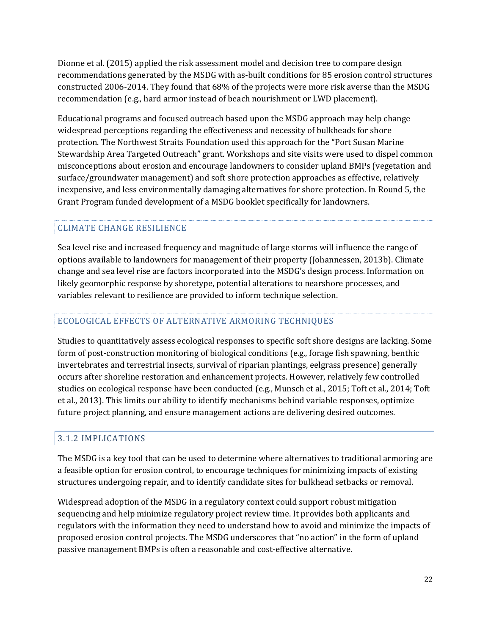Dionne et al. (2015) applied the risk assessment model and decision tree to compare design recommendations generated by the MSDG with as-built conditions for 85 erosion control structures constructed 2006-2014. They found that 68% of the projects were more risk averse than the MSDG recommendation (e.g., hard armor instead of beach nourishment or LWD placement).

Educational programs and focused outreach based upon the MSDG approach may help change widespread perceptions regarding the effectiveness and necessity of bulkheads for shore protection. The Northwest Straits Foundation used this approach for the "Port Susan Marine Stewardship Area Targeted Outreach" grant. Workshops and site visits were used to dispel common misconceptions about erosion and encourage landowners to consider upland BMPs (vegetation and surface/groundwater management) and soft shore protection approaches as effective, relatively inexpensive, and less environmentally damaging alternatives for shore protection. In Round 5, the Grant Program funded development of a MSDG booklet specifically for landowners.

## CLIMATE CHANGE RESILIENCE

Sea level rise and increased frequency and magnitude of large storms will influence the range of options available to landowners for management of their property (Johannessen, 2013b). Climate change and sea level rise are factors incorporated into the MSDG's design process. Information on likely geomorphic response by shoretype, potential alterations to nearshore processes, and variables relevant to resilience are provided to inform technique selection.

## ECOLOGICAL EFFECTS OF ALTERNATIVE ARMORING TECHNIQUES

Studies to quantitatively assess ecological responses to specific soft shore designs are lacking. Some form of post-construction monitoring of biological conditions (e.g., forage fish spawning, benthic invertebrates and terrestrial insects, survival of riparian plantings, eelgrass presence) generally occurs after shoreline restoration and enhancement projects. However, relatively few controlled studies on ecological response have been conducted (e.g., Munsch et al., 2015; Toft et al., 2014; Toft et al., 2013). This limits our ability to identify mechanisms behind variable responses, optimize future project planning, and ensure management actions are delivering desired outcomes.

## 3.1.2 IMPLICATIONS

The MSDG is a key tool that can be used to determine where alternatives to traditional armoring are a feasible option for erosion control, to encourage techniques for minimizing impacts of existing structures undergoing repair, and to identify candidate sites for bulkhead setbacks or removal.

Widespread adoption of the MSDG in a regulatory context could support robust mitigation sequencing and help minimize regulatory project review time. It provides both applicants and regulators with the information they need to understand how to avoid and minimize the impacts of proposed erosion control projects. The MSDG underscores that "no action" in the form of upland passive management BMPs is often a reasonable and cost-effective alternative.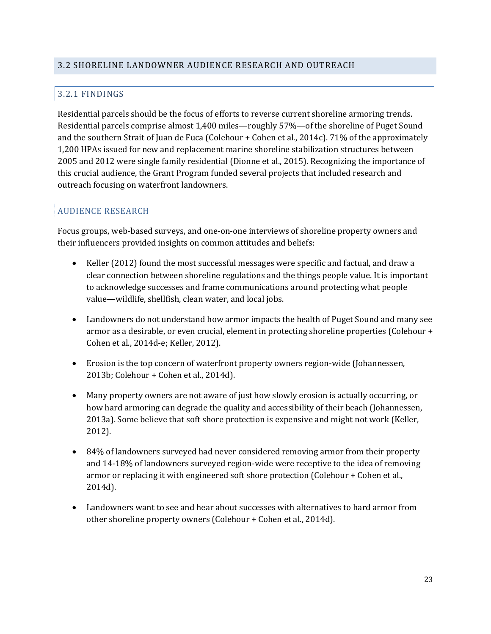## 3.2.1 FINDINGS

Residential parcels should be the focus of efforts to reverse current shoreline armoring trends. Residential parcels comprise almost 1,400 miles—roughly 57%—of the shoreline of Puget Sound and the southern Strait of Juan de Fuca (Colehour + Cohen et al., 2014c). 71% of the approximately 1,200 HPAs issued for new and replacement marine shoreline stabilization structures between 2005 and 2012 were single family residential (Dionne et al., 2015). Recognizing the importance of this crucial audience, the Grant Program funded several projects that included research and outreach focusing on waterfront landowners.

## AUDIENCE RESEARCH

Focus groups, web-based surveys, and one-on-one interviews of shoreline property owners and their influencers provided insights on common attitudes and beliefs:

- Keller (2012) found the most successful messages were specific and factual, and draw a clear connection between shoreline regulations and the things people value. It is important to acknowledge successes and frame communications around protecting what people value—wildlife, shellfish, clean water, and local jobs.
- Landowners do not understand how armor impacts the health of Puget Sound and many see armor as a desirable, or even crucial, element in protecting shoreline properties (Colehour + Cohen et al., 2014d-e; Keller, 2012).
- Erosion is the top concern of waterfront property owners region-wide (Johannessen, 2013b; Colehour + Cohen et al., 2014d).
- Many property owners are not aware of just how slowly erosion is actually occurring, or how hard armoring can degrade the quality and accessibility of their beach (Johannessen, 2013a). Some believe that soft shore protection is expensive and might not work (Keller, 2012).
- 84% of landowners surveyed had never considered removing armor from their property and 14-18% of landowners surveyed region-wide were receptive to the idea of removing armor or replacing it with engineered soft shore protection (Colehour + Cohen et al., 2014d).
- Landowners want to see and hear about successes with alternatives to hard armor from other shoreline property owners (Colehour + Cohen et al., 2014d).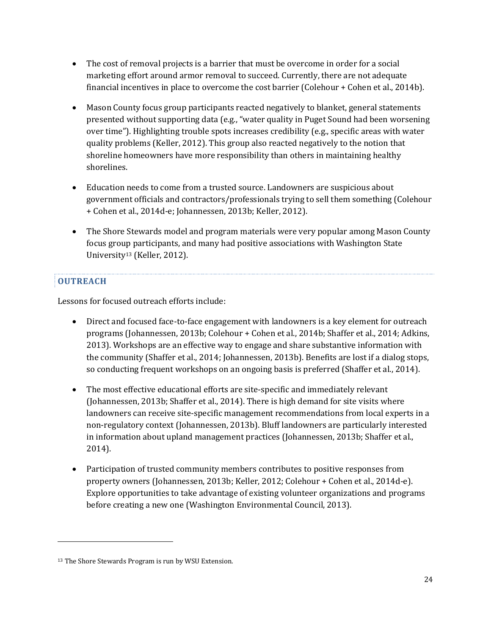- The cost of removal projects is a barrier that must be overcome in order for a social marketing effort around armor removal to succeed. Currently, there are not adequate financial incentives in place to overcome the cost barrier (Colehour + Cohen et al., 2014b).
- Mason County focus group participants reacted negatively to blanket, general statements presented without supporting data (e.g., "water quality in Puget Sound had been worsening over time"). Highlighting trouble spots increases credibility (e.g., specific areas with water quality problems (Keller, 2012). This group also reacted negatively to the notion that shoreline homeowners have more responsibility than others in maintaining healthy shorelines.
- Education needs to come from a trusted source. Landowners are suspicious about government officials and contractors/professionals trying to sell them something (Colehour + Cohen et al., 2014d-e; Johannessen, 2013b; Keller, 2012).
- The Shore Stewards model and program materials were very popular among Mason County focus group participants, and many had positive associations with Washington State University<sup>13</sup> (Keller, 2012).

## **OUTREACH**

 $\overline{a}$ 

Lessons for focused outreach efforts include:

- Direct and focused face-to-face engagement with landowners is a key element for outreach programs (Johannessen, 2013b; Colehour + Cohen et al., 2014b; Shaffer et al., 2014; Adkins, 2013). Workshops are an effective way to engage and share substantive information with the community (Shaffer et al., 2014; Johannessen, 2013b). Benefits are lost if a dialog stops, so conducting frequent workshops on an ongoing basis is preferred (Shaffer et al., 2014).
- The most effective educational efforts are site-specific and immediately relevant (Johannessen, 2013b; Shaffer et al., 2014). There is high demand for site visits where landowners can receive site-specific management recommendations from local experts in a non-regulatory context (Johannessen, 2013b). Bluff landowners are particularly interested in information about upland management practices (Johannessen, 2013b; Shaffer et al., 2014).
- Participation of trusted community members contributes to positive responses from property owners (Johannessen, 2013b; Keller, 2012; Colehour + Cohen et al., 2014d-e). Explore opportunities to take advantage of existing volunteer organizations and programs before creating a new one (Washington Environmental Council, 2013).

<sup>13</sup> The Shore Stewards Program is run by WSU Extension.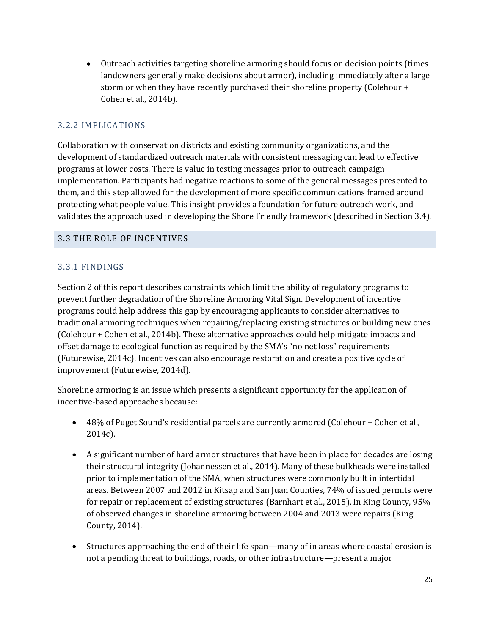Outreach activities targeting shoreline armoring should focus on decision points (times landowners generally make decisions about armor), including immediately after a large storm or when they have recently purchased their shoreline property (Colehour + Cohen et al., 2014b).

#### 3.2.2 IMPLICATIONS

Collaboration with conservation districts and existing community organizations, and the development of standardized outreach materials with consistent messaging can lead to effective programs at lower costs. There is value in testing messages prior to outreach campaign implementation. Participants had negative reactions to some of the general messages presented to them, and this step allowed for the development of more specific communications framed around protecting what people value. This insight provides a foundation for future outreach work, and validates the approach used in developing the Shore Friendly framework (described in Section 3.4).

#### 3.3 THE ROLE OF INCENTIVES

#### 3.3.1 FINDINGS

Section 2 of this report describes constraints which limit the ability of regulatory programs to prevent further degradation of the Shoreline Armoring Vital Sign. Development of incentive programs could help address this gap by encouraging applicants to consider alternatives to traditional armoring techniques when repairing/replacing existing structures or building new ones (Colehour + Cohen et al., 2014b). These alternative approaches could help mitigate impacts and offset damage to ecological function as required by the SMA's "no net loss" requirements (Futurewise, 2014c). Incentives can also encourage restoration and create a positive cycle of improvement (Futurewise, 2014d).

Shoreline armoring is an issue which presents a significant opportunity for the application of incentive-based approaches because:

- 48% of Puget Sound's residential parcels are currently armored (Colehour + Cohen et al., 2014c).
- A significant number of hard armor structures that have been in place for decades are losing their structural integrity (Johannessen et al., 2014). Many of these bulkheads were installed prior to implementation of the SMA, when structures were commonly built in intertidal areas. Between 2007 and 2012 in Kitsap and San Juan Counties, 74% of issued permits were for repair or replacement of existing structures (Barnhart et al., 2015). In King County, 95% of observed changes in shoreline armoring between 2004 and 2013 were repairs (King County, 2014).
- Structures approaching the end of their life span—many of in areas where coastal erosion is not a pending threat to buildings, roads, or other infrastructure—present a major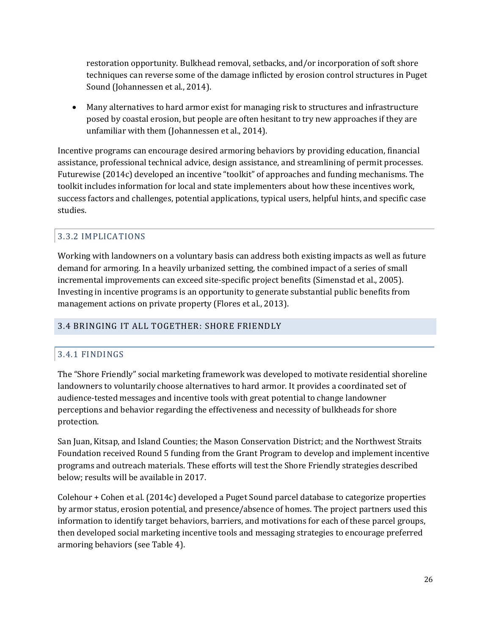restoration opportunity. Bulkhead removal, setbacks, and/or incorporation of soft shore techniques can reverse some of the damage inflicted by erosion control structures in Puget Sound (Johannessen et al., 2014).

 Many alternatives to hard armor exist for managing risk to structures and infrastructure posed by coastal erosion, but people are often hesitant to try new approaches if they are unfamiliar with them (Johannessen et al., 2014).

Incentive programs can encourage desired armoring behaviors by providing education, financial assistance, professional technical advice, design assistance, and streamlining of permit processes. Futurewise (2014c) developed an incentive "toolkit" of approaches and funding mechanisms. The toolkit includes information for local and state implementers about how these incentives work, success factors and challenges, potential applications, typical users, helpful hints, and specific case studies.

## 3.3.2 IMPLICATIONS

Working with landowners on a voluntary basis can address both existing impacts as well as future demand for armoring. In a heavily urbanized setting, the combined impact of a series of small incremental improvements can exceed site-specific project benefits (Simenstad et al., 2005). Investing in incentive programs is an opportunity to generate substantial public benefits from management actions on private property (Flores et al., 2013).

## 3.4 BRINGING IT ALL TOGETHER: SHORE FRIENDLY

## 3.4.1 FINDINGS

The "Shore Friendly" social marketing framework was developed to motivate residential shoreline landowners to voluntarily choose alternatives to hard armor. It provides a coordinated set of audience-tested messages and incentive tools with great potential to change landowner perceptions and behavior regarding the effectiveness and necessity of bulkheads for shore protection.

San Juan, Kitsap, and Island Counties; the Mason Conservation District; and the Northwest Straits Foundation received Round 5 funding from the Grant Program to develop and implement incentive programs and outreach materials. These efforts will test the Shore Friendly strategies described below; results will be available in 2017.

Colehour + Cohen et al. (2014c) developed a Puget Sound parcel database to categorize properties by armor status, erosion potential, and presence/absence of homes. The project partners used this information to identify target behaviors, barriers, and motivations for each of these parcel groups, then developed social marketing incentive tools and messaging strategies to encourage preferred armoring behaviors (see [Table](#page-27-0) 4).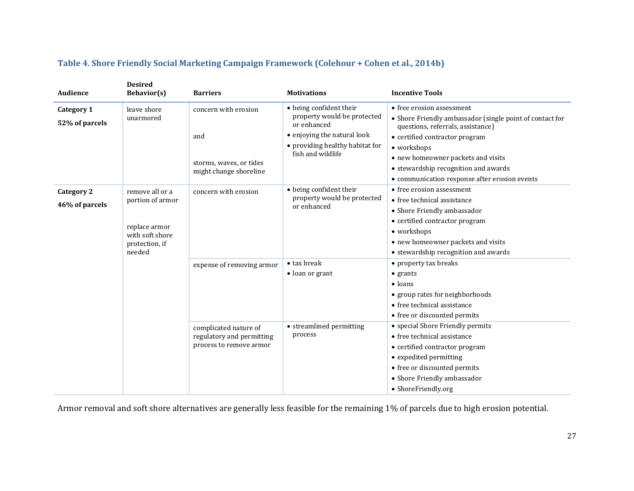<span id="page-27-0"></span>

| Audience                            | <b>Desired</b><br><b>Behavior(s)</b>                                                                | <b>Barriers</b>                                                               | <b>Motivations</b>                                                                           | <b>Incentive Tools</b>                                                                                                                                                                                                                          |
|-------------------------------------|-----------------------------------------------------------------------------------------------------|-------------------------------------------------------------------------------|----------------------------------------------------------------------------------------------|-------------------------------------------------------------------------------------------------------------------------------------------------------------------------------------------------------------------------------------------------|
| <b>Category 1</b><br>52% of parcels | leave shore<br>unarmored                                                                            | concern with erosion                                                          | • being confident their<br>property would be protected<br>or enhanced                        | • free erosion assessment<br>• Shore Friendly ambassador (single point of contact for<br>questions, referrals, assistance)                                                                                                                      |
|                                     |                                                                                                     | and                                                                           | • enjoying the natural look<br>• providing healthy habitat for                               | • certified contractor program                                                                                                                                                                                                                  |
|                                     |                                                                                                     | storms, waves, or tides<br>might change shoreline                             | fish and wildlife                                                                            | • workshops<br>• new homeowner packets and visits<br>• stewardship recognition and awards<br>• communication response after erosion events                                                                                                      |
| Category 2<br>46% of parcels        | remove all or a<br>portion of armor<br>replace armor<br>with soft shore<br>protection, if<br>needed | concern with erosion                                                          | • being confident their<br>property would be protected<br>or enhanced<br>$\bullet$ tax break | • free erosion assessment<br>• free technical assistance<br>• Shore Friendly ambassador<br>• certified contractor program<br>• workshops<br>• new homeowner packets and visits<br>• stewardship recognition and awards<br>• property tax breaks |
|                                     |                                                                                                     | expense of removing armor                                                     | $\bullet$ loan or grant                                                                      | $\bullet$ grants<br>$\bullet$ loans<br>• group rates for neighborhoods<br>• free technical assistance<br>• free or discounted permits                                                                                                           |
|                                     |                                                                                                     | complicated nature of<br>regulatory and permitting<br>process to remove armor | • streamlined permitting<br>process                                                          | • special Shore Friendly permits<br>• free technical assistance<br>• certified contractor program<br>• expedited permitting<br>• free or discounted permits<br>• Shore Friendly ambassador<br>• ShoreFriendly.org                               |

## **Table 4. Shore Friendly Social Marketing Campaign Framework (Colehour + Cohen et al., 2014b)**

Armor removal and soft shore alternatives are generally less feasible for the remaining 1% of parcels due to high erosion potential.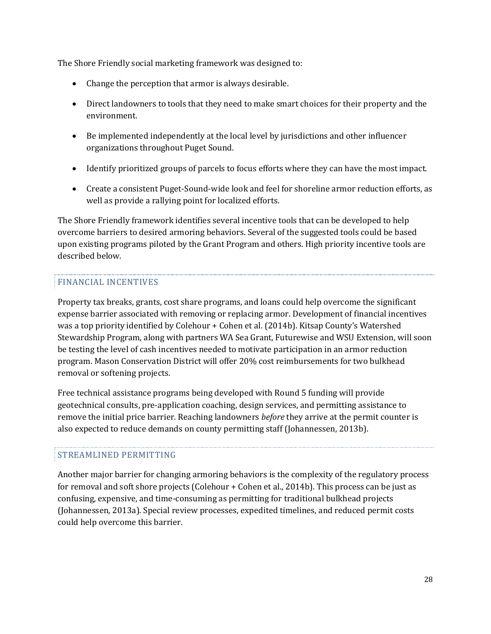The Shore Friendly social marketing framework was designed to:

- Change the perception that armor is always desirable.
- Direct landowners to tools that they need to make smart choices for their property and the environment.
- Be implemented independently at the local level by jurisdictions and other influencer organizations throughout Puget Sound.
- Identify prioritized groups of parcels to focus efforts where they can have the most impact.
- Create a consistent Puget-Sound-wide look and feel for shoreline armor reduction efforts, as well as provide a rallying point for localized efforts.

The Shore Friendly framework identifies several incentive tools that can be developed to help overcome barriers to desired armoring behaviors. Several of the suggested tools could be based upon existing programs piloted by the Grant Program and others. High priority incentive tools are described below.

#### FINANCIAL INCENTIVES

Property tax breaks, grants, cost share programs, and loans could help overcome the significant expense barrier associated with removing or replacing armor. Development of financial incentives was a top priority identified by Colehour + Cohen et al. (2014b). Kitsap County's Watershed Stewardship Program, along with partners WA Sea Grant, Futurewise and WSU Extension, will soon be testing the level of cash incentives needed to motivate participation in an armor reduction program. Mason Conservation District will offer 20% cost reimbursements for two bulkhead removal or softening projects.

Free technical assistance programs being developed with Round 5 funding will provide geotechnical consults, pre-application coaching, design services, and permitting assistance to remove the initial price barrier. Reaching landowners *before* they arrive at the permit counter is also expected to reduce demands on county permitting staff (Johannessen, 2013b).

#### STREAMLINED PERMITTING

Another major barrier for changing armoring behaviors is the complexity of the regulatory process for removal and soft shore projects (Colehour + Cohen et al., 2014b). This process can be just as confusing, expensive, and time-consuming as permitting for traditional bulkhead projects (Johannessen, 2013a). Special review processes, expedited timelines, and reduced permit costs could help overcome this barrier.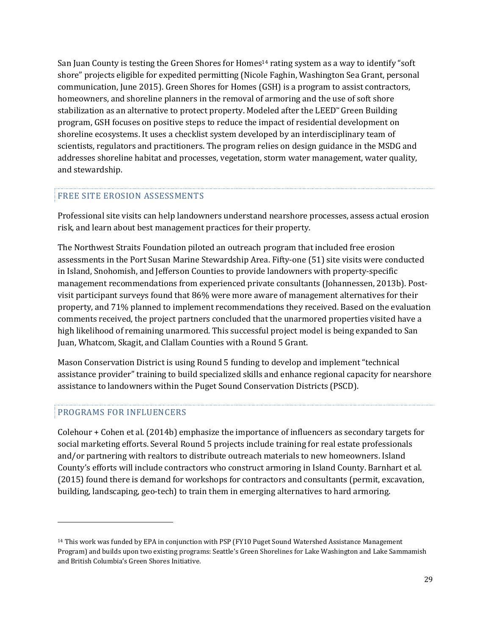San Juan County is testing the Green Shores for Homes<sup>14</sup> rating system as a way to identify "soft shore" projects eligible for expedited permitting (Nicole Faghin, Washington Sea Grant, personal communication, June 2015). Green Shores for Homes (GSH) is a program to assist contractors, homeowners, and shoreline planners in the removal of armoring and the use of soft shore stabilization as an alternative to protect property. Modeled after the LEED™ Green Building program, GSH focuses on positive steps to reduce the impact of residential development on shoreline ecosystems. It uses a checklist system developed by an interdisciplinary team of scientists, regulators and practitioners. The program relies on design guidance in the MSDG and addresses shoreline habitat and processes, vegetation, storm water management, water quality, and stewardship.

#### FREE SITE EROSION ASSESSMENTS

Professional site visits can help landowners understand nearshore processes, assess actual erosion risk, and learn about best management practices for their property.

The Northwest Straits Foundation piloted an outreach program that included free erosion assessments in the Port Susan Marine Stewardship Area. Fifty-one (51) site visits were conducted in Island, Snohomish, and Jefferson Counties to provide landowners with property-specific management recommendations from experienced private consultants (Johannessen, 2013b). Postvisit participant surveys found that 86% were more aware of management alternatives for their property, and 71% planned to implement recommendations they received. Based on the evaluation comments received, the project partners concluded that the unarmored properties visited have a high likelihood of remaining unarmored. This successful project model is being expanded to San Juan, Whatcom, Skagit, and Clallam Counties with a Round 5 Grant.

Mason Conservation District is using Round 5 funding to develop and implement "technical assistance provider" training to build specialized skills and enhance regional capacity for nearshore assistance to landowners within the Puget Sound Conservation Districts (PSCD).

#### PROGRAMS FOR INFLUENCERS

 $\overline{a}$ 

Colehour + Cohen et al. (2014b) emphasize the importance of influencers as secondary targets for social marketing efforts. Several Round 5 projects include training for real estate professionals and/or partnering with realtors to distribute outreach materials to new homeowners. Island County's efforts will include contractors who construct armoring in Island County. Barnhart et al. (2015) found there is demand for workshops for contractors and consultants (permit, excavation, building, landscaping, geo-tech) to train them in emerging alternatives to hard armoring.

<sup>14</sup> This work was funded by EPA in conjunction with PSP (FY10 Puget Sound Watershed Assistance Management Program) and builds upon two existing programs: Seattle's Green Shorelines for Lake Washington and Lake Sammamish and British Columbia's Green Shores Initiative.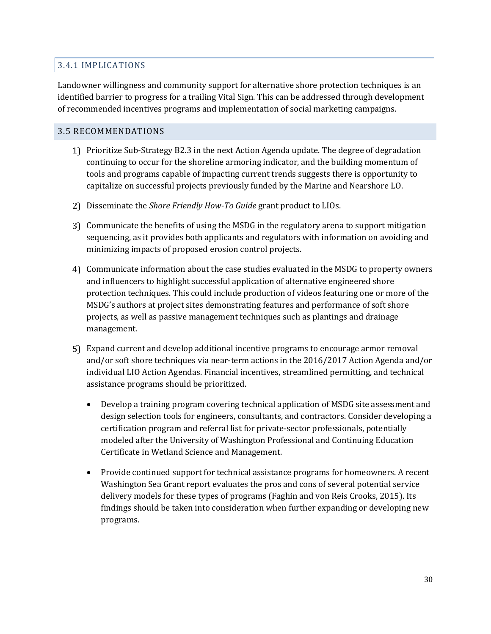#### 3.4.1 IMPLICATIONS

Landowner willingness and community support for alternative shore protection techniques is an identified barrier to progress for a trailing Vital Sign. This can be addressed through development of recommended incentives programs and implementation of social marketing campaigns.

#### 3.5 RECOMMENDATIONS

- Prioritize Sub-Strategy B2.3 in the next Action Agenda update. The degree of degradation continuing to occur for the shoreline armoring indicator, and the building momentum of tools and programs capable of impacting current trends suggests there is opportunity to capitalize on successful projects previously funded by the Marine and Nearshore LO.
- Disseminate the *Shore Friendly How-To Guide* grant product to LIOs.
- Communicate the benefits of using the MSDG in the regulatory arena to support mitigation sequencing, as it provides both applicants and regulators with information on avoiding and minimizing impacts of proposed erosion control projects.
- Communicate information about the case studies evaluated in the MSDG to property owners and influencers to highlight successful application of alternative engineered shore protection techniques. This could include production of videos featuring one or more of the MSDG's authors at project sites demonstrating features and performance of soft shore projects, as well as passive management techniques such as plantings and drainage management.
- Expand current and develop additional incentive programs to encourage armor removal and/or soft shore techniques via near-term actions in the 2016/2017 Action Agenda and/or individual LIO Action Agendas. Financial incentives, streamlined permitting, and technical assistance programs should be prioritized.
	- Develop a training program covering technical application of MSDG site assessment and design selection tools for engineers, consultants, and contractors. Consider developing a certification program and referral list for private-sector professionals, potentially modeled after the University of Washington Professional and Continuing Education Certificate in Wetland Science and Management.
	- Provide continued support for technical assistance programs for homeowners. A recent Washington Sea Grant report evaluates the pros and cons of several potential service delivery models for these types of programs (Faghin and von Reis Crooks, 2015). Its findings should be taken into consideration when further expanding or developing new programs.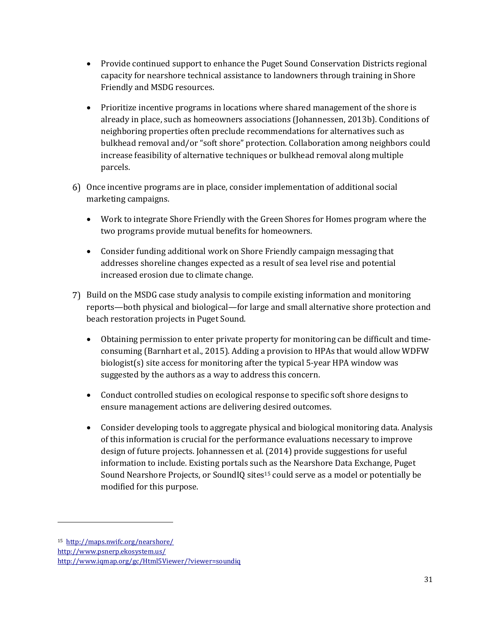- Provide continued support to enhance the Puget Sound Conservation Districts regional capacity for nearshore technical assistance to landowners through training in Shore Friendly and MSDG resources.
- Prioritize incentive programs in locations where shared management of the shore is already in place, such as homeowners associations (Johannessen, 2013b). Conditions of neighboring properties often preclude recommendations for alternatives such as bulkhead removal and/or "soft shore" protection. Collaboration among neighbors could increase feasibility of alternative techniques or bulkhead removal along multiple parcels.
- Once incentive programs are in place, consider implementation of additional social marketing campaigns.
	- Work to integrate Shore Friendly with the Green Shores for Homes program where the two programs provide mutual benefits for homeowners.
	- Consider funding additional work on Shore Friendly campaign messaging that addresses shoreline changes expected as a result of sea level rise and potential increased erosion due to climate change.
- 7) Build on the MSDG case study analysis to compile existing information and monitoring reports—both physical and biological—for large and small alternative shore protection and beach restoration projects in Puget Sound.
	- Obtaining permission to enter private property for monitoring can be difficult and timeconsuming (Barnhart et al., 2015). Adding a provision to HPAs that would allow WDFW biologist(s) site access for monitoring after the typical 5-year HPA window was suggested by the authors as a way to address this concern.
	- Conduct controlled studies on ecological response to specific soft shore designs to ensure management actions are delivering desired outcomes.
	- Consider developing tools to aggregate physical and biological monitoring data. Analysis of this information is crucial for the performance evaluations necessary to improve design of future projects. Johannessen et al. (2014) provide suggestions for useful information to include. Existing portals such as the [Nearshore](http://maps.nwifc.org/nearshore/) Data Exchange, [Puget](http://www.psnerp.ekosystem.us/) Sound [Nearshore](http://www.psnerp.ekosystem.us/) Projects, or SoundIQ sites<sup>15</sup> could serve as a model or potentially be modified for this purpose.

 $\overline{a}$ 

<sup>15</sup><http://maps.nwifc.org/nearshore/>

<http://www.psnerp.ekosystem.us/>

Ī <http://www.iqmap.org/gc/Html5Viewer/?viewer=soundiq>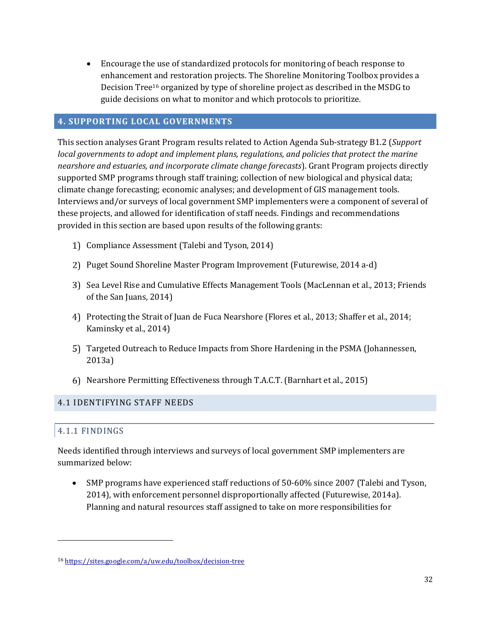Encourage the use of standardized protocols for monitoring of beach response to enhancement and restoration projects. The Shoreline Monitoring Toolbox provides a Decision Tree<sup>16</sup> organized by type of shoreline project as described in the MSDG to guide decisions on what to monitor and which protocols to prioritize.

#### **4. SUPPORTING LOCAL GOVERNMENTS**

This section analyses Grant Program results related to Action Agenda Sub-strategy B1.2 (*Support local governments to adopt and implement plans, regulations, and policies that protect the marine nearshore and estuaries, and incorporate climate change forecasts*). Grant Program projects directly supported SMP programs through staff training; collection of new biological and physical data; climate change forecasting; economic analyses; and development of GIS management tools. Interviews and/or surveys of local government SMP implementers were a component of several of these projects, and allowed for identification of staff needs. Findings and recommendations provided in this section are based upon results of the following grants:

- Compliance Assessment (Talebi and Tyson, 2014)
- Puget Sound Shoreline Master Program Improvement (Futurewise, 2014 a-d)
- Sea Level Rise and Cumulative Effects Management Tools (MacLennan et al., 2013; Friends of the San Juans, 2014)
- Protecting the Strait of Juan de Fuca Nearshore (Flores et al., 2013; Shaffer et al., 2014; Kaminsky et al., 2014)
- Targeted Outreach to Reduce Impacts from Shore Hardening in the PSMA (Johannessen, 2013a)
- Nearshore Permitting Effectiveness through T.A.C.T. (Barnhart et al., 2015)

#### 4.1 IDENTIFYING STAFF NEEDS

#### 4.1.1 FINDINGS

 $\overline{a}$ 

Needs identified through interviews and surveys of local government SMP implementers are summarized below:

 SMP programs have experienced staff reductions of 50-60% since 2007 (Talebi and Tyson, 2014), with enforcement personnel disproportionally affected (Futurewise, 2014a). Planning and natural resources staff assigned to take on more responsibilities for

<sup>16</sup> https://sites.google.com/a/uw.edu/toolbox/decision-tree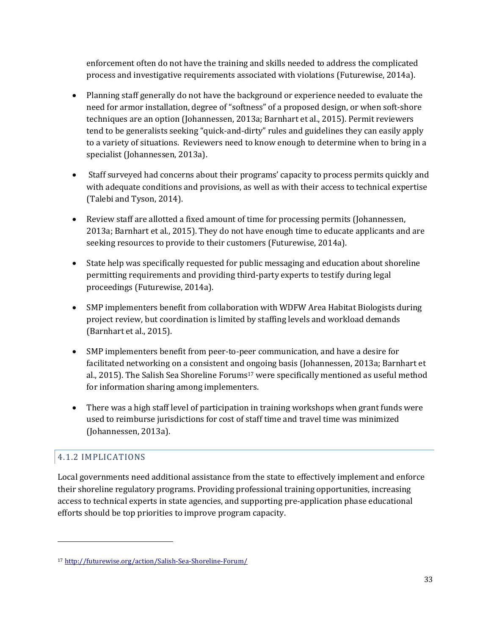enforcement often do not have the training and skills needed to address the complicated process and investigative requirements associated with violations (Futurewise, 2014a).

- Planning staff generally do not have the background or experience needed to evaluate the need for armor installation, degree of "softness" of a proposed design, or when soft-shore techniques are an option (Johannessen, 2013a; Barnhart et al., 2015). Permit reviewers tend to be generalists seeking "quick-and-dirty" rules and guidelines they can easily apply to a variety of situations. Reviewers need to know enough to determine when to bring in a specialist (Johannessen, 2013a).
- Staff surveyed had concerns about their programs' capacity to process permits quickly and with adequate conditions and provisions, as well as with their access to technical expertise (Talebi and Tyson, 2014).
- Review staff are allotted a fixed amount of time for processing permits (Johannessen, 2013a; Barnhart et al., 2015). They do not have enough time to educate applicants and are seeking resources to provide to their customers (Futurewise, 2014a).
- State help was specifically requested for public messaging and education about shoreline permitting requirements and providing third-party experts to testify during legal proceedings (Futurewise, 2014a).
- SMP implementers benefit from collaboration with WDFW Area Habitat Biologists during project review, but coordination is limited by staffing levels and workload demands (Barnhart et al., 2015).
- SMP implementers benefit from peer-to-peer communication, and have a desire for facilitated networking on a consistent and ongoing basis (Johannessen, 2013a; Barnhart et al., 2015). The Salish Sea Shoreline Forums <sup>17</sup> were specifically mentioned as useful method for information sharing among implementers.
- There was a high staff level of participation in training workshops when grant funds were used to reimburse jurisdictions for cost of staff time and travel time was minimized (Johannessen, 2013a).

## 4.1.2 IMPLICATIONS

 $\overline{a}$ 

Local governments need additional assistance from the state to effectively implement and enforce their shoreline regulatory programs. Providing professional training opportunities, increasing access to technical experts in state agencies, and supporting pre-application phase educational efforts should be top priorities to improve program capacity.

<sup>17</sup> http://futurewise.org/action/Salish-Sea-Shoreline-Forum/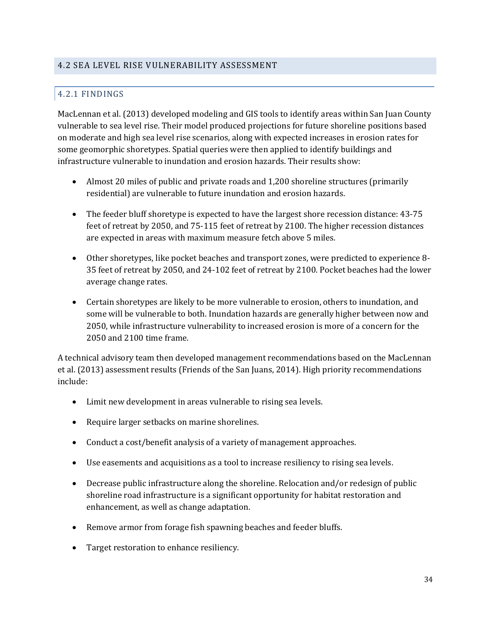#### 4.2 SEA LEVEL RISE VULNERABILITY ASSESSMENT

## 4.2.1 FINDINGS

MacLennan et al. (2013) developed modeling and GIS tools to identify areas within San Juan County vulnerable to sea level rise. Their model produced projections for future shoreline positions based on moderate and high sea level rise scenarios, along with expected increases in erosion rates for some geomorphic shoretypes. Spatial queries were then applied to identify buildings and infrastructure vulnerable to inundation and erosion hazards. Their results show:

- Almost 20 miles of public and private roads and 1,200 shoreline structures (primarily residential) are vulnerable to future inundation and erosion hazards.
- The feeder bluff shoretype is expected to have the largest shore recession distance: 43-75 feet of retreat by 2050, and 75-115 feet of retreat by 2100. The higher recession distances are expected in areas with maximum measure fetch above 5 miles.
- Other shoretypes, like pocket beaches and transport zones, were predicted to experience 8- 35 feet of retreat by 2050, and 24-102 feet of retreat by 2100. Pocket beaches had the lower average change rates.
- Certain shoretypes are likely to be more vulnerable to erosion, others to inundation, and some will be vulnerable to both. Inundation hazards are generally higher between now and 2050, while infrastructure vulnerability to increased erosion is more of a concern for the 2050 and 2100 time frame.

A technical advisory team then developed management recommendations based on the MacLennan et al. (2013) assessment results (Friends of the San Juans, 2014). High priority recommendations include:

- Limit new development in areas vulnerable to rising sea levels.
- Require larger setbacks on marine shorelines.
- Conduct a cost/benefit analysis of a variety of management approaches.
- Use easements and acquisitions as a tool to increase resiliency to rising sea levels.
- Decrease public infrastructure along the shoreline. Relocation and/or redesign of public shoreline road infrastructure is a significant opportunity for habitat restoration and enhancement, as well as change adaptation.
- Remove armor from forage fish spawning beaches and feeder bluffs.
- Target restoration to enhance resiliency.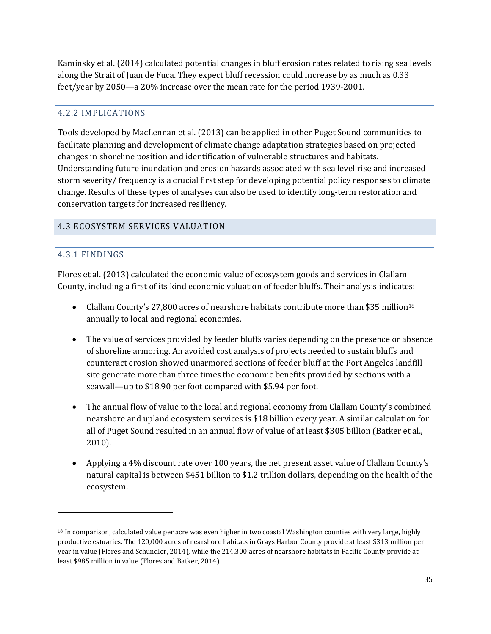Kaminsky et al. (2014) calculated potential changes in bluff erosion rates related to rising sea levels along the Strait of Juan de Fuca. They expect bluff recession could increase by as much as 0.33 feet/year by 2050—a 20% increase over the mean rate for the period 1939-2001.

## 4.2.2 IMPLICATIONS

Tools developed by MacLennan et al. (2013) can be applied in other Puget Sound communities to facilitate planning and development of climate change adaptation strategies based on projected changes in shoreline position and identification of vulnerable structures and habitats. Understanding future inundation and erosion hazards associated with sea level rise and increased storm severity/ frequency is a crucial first step for developing potential policy responses to climate change. Results of these types of analyses can also be used to identify long-term restoration and conservation targets for increased resiliency.

#### 4.3 ECOSYSTEM SERVICES VALUATION

## 4.3.1 FINDINGS

 $\overline{a}$ 

Flores et al. (2013) calculated the economic value of ecosystem goods and services in Clallam County, including a first of its kind economic valuation of feeder bluffs. Their analysis indicates:

- Clallam County's 27,800 acres of nearshore habitats contribute more than \$35 million<sup>18</sup> annually to local and regional economies.
- The value of services provided by feeder bluffs varies depending on the presence or absence of shoreline armoring. An avoided cost analysis of projects needed to sustain bluffs and counteract erosion showed unarmored sections of feeder bluff at the Port Angeles landfill site generate more than three times the economic benefits provided by sections with a seawall—up to \$18.90 per foot compared with \$5.94 per foot.
- The annual flow of value to the local and regional economy from Clallam County's combined nearshore and upland ecosystem services is \$18 billion every year. A similar calculation for all of Puget Sound resulted in an annual flow of value of at least \$305 billion (Batker et al., 2010).
- Applying a 4% discount rate over 100 years, the net present asset value of Clallam County's natural capital is between \$451 billion to \$1.2 trillion dollars, depending on the health of the ecosystem.

<sup>&</sup>lt;sup>18</sup> In comparison, calculated value per acre was even higher in two coastal Washington counties with very large, highly productive estuaries. The 120,000 acres of nearshore habitats in Grays Harbor County provide at least \$313 million per year in value (Flores and Schundler, 2014), while the 214,300 acres of nearshore habitats in Pacific County provide at least \$985 million in value (Flores and Batker, 2014).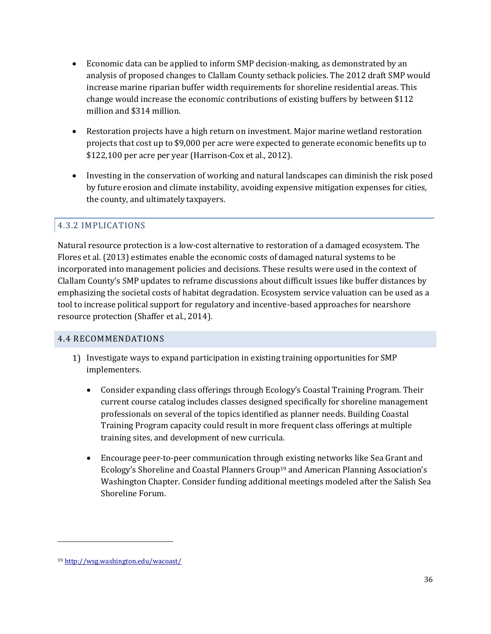- Economic data can be applied to inform SMP decision-making, as demonstrated by an analysis of proposed changes to Clallam County setback policies. The 2012 draft SMP would increase marine riparian buffer width requirements for shoreline residential areas. This change would increase the economic contributions of existing buffers by between \$112 million and \$314 million.
- Restoration projects have a high return on investment. Major marine wetland restoration projects that cost up to \$9,000 per acre were expected to generate economic benefits up to \$122,100 per acre per year (Harrison-Cox et al., 2012).
- Investing in the conservation of working and natural landscapes can diminish the risk posed by future erosion and climate instability, avoiding expensive mitigation expenses for cities, the county, and ultimately taxpayers.

## 4.3.2 IMPLICATIONS

Natural resource protection is a low-cost alternative to restoration of a damaged ecosystem. The Flores et al. (2013) estimates enable the economic costs of damaged natural systems to be incorporated into management policies and decisions. These results were used in the context of Clallam County's SMP updates to reframe discussions about difficult issues like buffer distances by emphasizing the societal costs of habitat degradation. Ecosystem service valuation can be used as a tool to increase political support for regulatory and incentive-based approaches for nearshore resource protection (Shaffer et al., 2014).

#### 4.4 RECOMMENDATIONS

- 1) Investigate ways to expand participation in existing training opportunities for SMP implementers.
	- Consider expanding class offerings through Ecology's Coastal Training Program. Their current course catalog includes classes designed specifically for shoreline management professionals on several of the topics identified as planner needs. Building Coastal Training Program capacity could result in more frequent class offerings at multiple training sites, and development of new curricula.
	- Encourage peer-to-peer communication through existing networks like Sea Grant and Ecology's Shoreline and Coastal Planners Group<sup>19</sup> and American Planning Association's Washington Chapter. Consider funding additional meetings modeled after the Salish Sea Shoreline Forum.

 $\overline{a}$ 

<sup>19</sup> <http://wsg.washington.edu/wacoast/>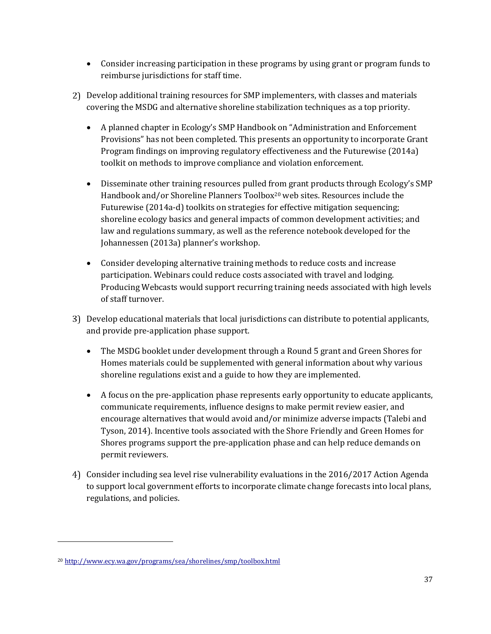- Consider increasing participation in these programs by using grant or program funds to reimburse jurisdictions for staff time.
- Develop additional training resources for SMP implementers, with classes and materials covering the MSDG and alternative shoreline stabilization techniques as a top priority.
	- A planned chapter in Ecology's SMP Handbook on "Administration and Enforcement Provisions" has not been completed. This presents an opportunity to incorporate Grant Program findings on improving regulatory effectiveness and the Futurewise (2014a) toolkit on methods to improve compliance and violation enforcement.
	- Disseminate other training resources pulled from grant products through Ecology's SMP Handbook and/or Shoreline Planners Toolbox<sup>20</sup> web sites. Resources include the Futurewise (2014a-d) toolkits on strategies for effective mitigation sequencing; shoreline ecology basics and general impacts of common development activities; and law and regulations summary, as well as the reference notebook developed for the Johannessen (2013a) planner's workshop.
	- Consider developing alternative training methods to reduce costs and increase participation. Webinars could reduce costs associated with travel and lodging. Producing Webcasts would support recurring training needs associated with high levels of staff turnover.
- Develop educational materials that local jurisdictions can distribute to potential applicants, and provide pre-application phase support.
	- The MSDG booklet under development through a Round 5 grant and Green Shores for Homes materials could be supplemented with general information about why various shoreline regulations exist and a guide to how they are implemented.
	- A focus on the pre-application phase represents early opportunity to educate applicants, communicate requirements, influence designs to make permit review easier, and encourage alternatives that would avoid and/or minimize adverse impacts (Talebi and Tyson, 2014). Incentive tools associated with the Shore Friendly and Green Homes for Shores programs support the pre-application phase and can help reduce demands on permit reviewers.
- Consider including sea level rise vulnerability evaluations in the 2016/2017 Action Agenda to support local government efforts to incorporate climate change forecasts into local plans, regulations, and policies.

 $\overline{a}$ 

<sup>20</sup> <http://www.ecy.wa.gov/programs/sea/shorelines/smp/toolbox.html>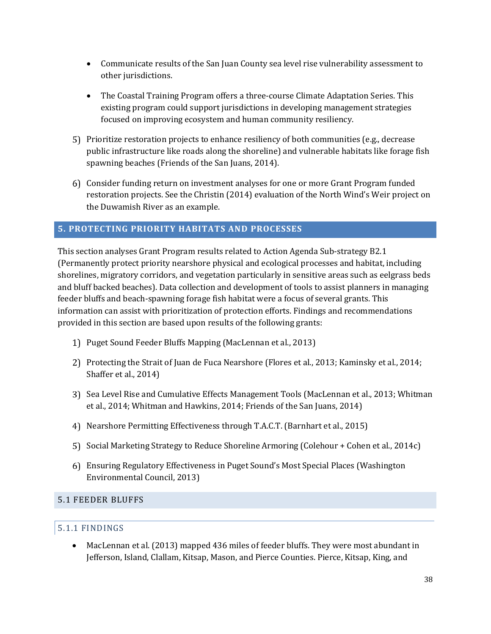- Communicate results of the San Juan County sea level rise vulnerability assessment to other jurisdictions.
- The Coastal Training Program offers a three-course Climate Adaptation Series. This existing program could support jurisdictions in developing management strategies focused on improving ecosystem and human community resiliency.
- Prioritize restoration projects to enhance resiliency of both communities (e.g., decrease public infrastructure like roads along the shoreline) and vulnerable habitats like forage fish spawning beaches (Friends of the San Juans, 2014).
- Consider funding return on investment analyses for one or more Grant Program funded restoration projects. See the Christin (2014) evaluation of the North Wind's Weir project on the Duwamish River as an example.

## **5. PROTECTING PRIORITY HABITATS AND PROCESSES**

This section analyses Grant Program results related to Action Agenda Sub-strategy B2.1 (Permanently protect priority nearshore physical and ecological processes and habitat, including shorelines, migratory corridors, and vegetation particularly in sensitive areas such as eelgrass beds and bluff backed beaches). Data collection and development of tools to assist planners in managing feeder bluffs and beach-spawning forage fish habitat were a focus of several grants. This information can assist with prioritization of protection efforts. Findings and recommendations provided in this section are based upon results of the following grants:

- 1) Puget Sound Feeder Bluffs Mapping (MacLennan et al., 2013)
- Protecting the Strait of Juan de Fuca Nearshore (Flores et al., 2013; Kaminsky et al., 2014; Shaffer et al., 2014)
- Sea Level Rise and Cumulative Effects Management Tools (MacLennan et al., 2013; Whitman et al., 2014; Whitman and Hawkins, 2014; Friends of the San Juans, 2014)
- Nearshore Permitting Effectiveness through T.A.C.T. (Barnhart et al., 2015)
- 5) Social Marketing Strategy to Reduce Shoreline Armoring (Colehour + Cohen et al., 2014c)
- Ensuring Regulatory Effectiveness in Puget Sound's Most Special Places (Washington Environmental Council, 2013)

#### 5.1 FEEDER BLUFFS

#### 5.1.1 FINDINGS

 MacLennan et al. (2013) mapped 436 miles of feeder bluffs. They were most abundant in Jefferson, Island, Clallam, Kitsap, Mason, and Pierce Counties. Pierce, Kitsap, King, and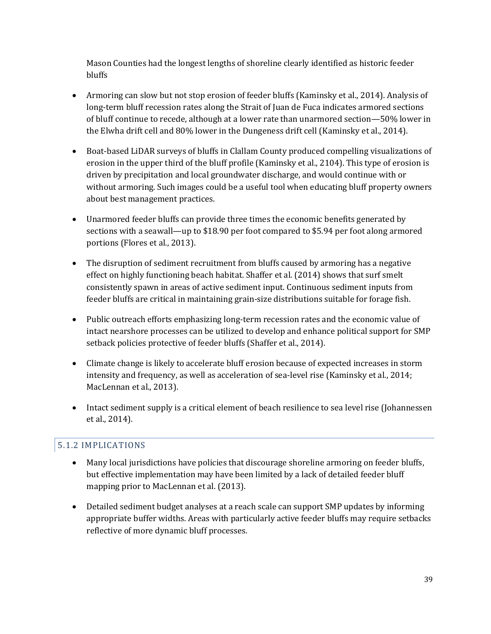Mason Counties had the longest lengths of shoreline clearly identified as historic feeder bluffs

- Armoring can slow but not stop erosion of feeder bluffs (Kaminsky et al., 2014). Analysis of long-term bluff recession rates along the Strait of Juan de Fuca indicates armored sections of bluff continue to recede, although at a lower rate than unarmored section—50% lower in the Elwha drift cell and 80% lower in the Dungeness drift cell (Kaminsky et al., 2014).
- Boat-based LiDAR surveys of bluffs in Clallam County produced compelling visualizations of erosion in the upper third of the bluff profile (Kaminsky et al., 2104). This type of erosion is driven by precipitation and local groundwater discharge, and would continue with or without armoring. Such images could be a useful tool when educating bluff property owners about best management practices.
- Unarmored feeder bluffs can provide three times the economic benefits generated by sections with a seawall—up to \$18.90 per foot compared to \$5.94 per foot along armored portions (Flores et al., 2013).
- The disruption of sediment recruitment from bluffs caused by armoring has a negative effect on highly functioning beach habitat. Shaffer et al. (2014) shows that surf smelt consistently spawn in areas of active sediment input. Continuous sediment inputs from feeder bluffs are critical in maintaining grain-size distributions suitable for forage fish.
- Public outreach efforts emphasizing long-term recession rates and the economic value of intact nearshore processes can be utilized to develop and enhance political support for SMP setback policies protective of feeder bluffs (Shaffer et al., 2014).
- Climate change is likely to accelerate bluff erosion because of expected increases in storm intensity and frequency, as well as acceleration of sea-level rise (Kaminsky et al., 2014; MacLennan et al., 2013).
- Intact sediment supply is a critical element of beach resilience to sea level rise (Johannessen et al., 2014).

## 5.1.2 IMPLICATIONS

- Many local jurisdictions have policies that discourage shoreline armoring on feeder bluffs, but effective implementation may have been limited by a lack of detailed feeder bluff mapping prior to MacLennan et al. (2013).
- Detailed sediment budget analyses at a reach scale can support SMP updates by informing appropriate buffer widths. Areas with particularly active feeder bluffs may require setbacks reflective of more dynamic bluff processes.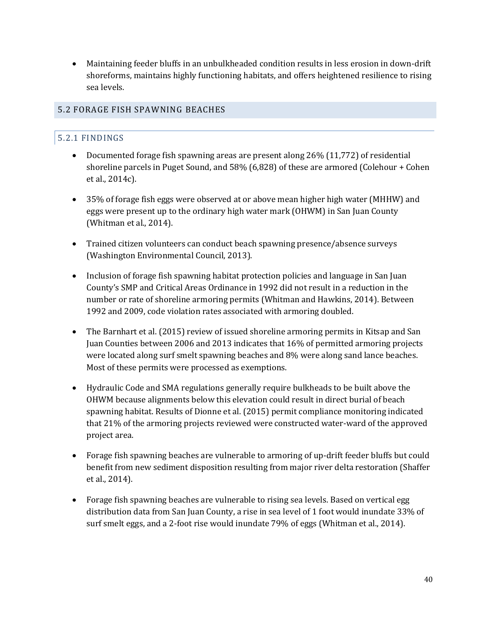Maintaining feeder bluffs in an unbulkheaded condition results in less erosion in down-drift shoreforms, maintains highly functioning habitats, and offers heightened resilience to rising sea levels.

#### 5.2 FORAGE FISH SPAWNING BEACHES

#### 5.2.1 FINDINGS

- Documented forage fish spawning areas are present along 26% (11,772) of residential shoreline parcels in Puget Sound, and 58% (6,828) of these are armored (Colehour + Cohen et al., 2014c).
- 35% of forage fish eggs were observed at or above mean higher high water (MHHW) and eggs were present up to the ordinary high water mark (OHWM) in San Juan County (Whitman et al., 2014).
- Trained citizen volunteers can conduct beach spawning presence/absence surveys (Washington Environmental Council, 2013).
- Inclusion of forage fish spawning habitat protection policies and language in San Juan County's SMP and Critical Areas Ordinance in 1992 did not result in a reduction in the number or rate of shoreline armoring permits (Whitman and Hawkins, 2014). Between 1992 and 2009, code violation rates associated with armoring doubled.
- The Barnhart et al. (2015) review of issued shoreline armoring permits in Kitsap and San Juan Counties between 2006 and 2013 indicates that 16% of permitted armoring projects were located along surf smelt spawning beaches and 8% were along sand lance beaches. Most of these permits were processed as exemptions.
- Hydraulic Code and SMA regulations generally require bulkheads to be built above the OHWM because alignments below this elevation could result in direct burial of beach spawning habitat. Results of Dionne et al. (2015) permit compliance monitoring indicated that 21% of the armoring projects reviewed were constructed water-ward of the approved project area.
- Forage fish spawning beaches are vulnerable to armoring of up-drift feeder bluffs but could benefit from new sediment disposition resulting from major river delta restoration (Shaffer et al., 2014).
- Forage fish spawning beaches are vulnerable to rising sea levels. Based on vertical egg distribution data from San Juan County, a rise in sea level of 1 foot would inundate 33% of surf smelt eggs, and a 2-foot rise would inundate 79% of eggs (Whitman et al., 2014).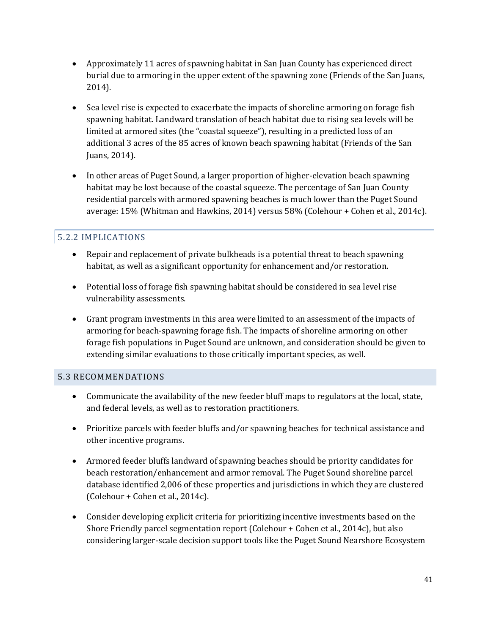- Approximately 11 acres of spawning habitat in San Juan County has experienced direct burial due to armoring in the upper extent of the spawning zone (Friends of the San Juans, 2014).
- Sea level rise is expected to exacerbate the impacts of shoreline armoring on forage fish spawning habitat. Landward translation of beach habitat due to rising sea levels will be limited at armored sites (the "coastal squeeze"), resulting in a predicted loss of an additional 3 acres of the 85 acres of known beach spawning habitat (Friends of the San Juans, 2014).
- In other areas of Puget Sound, a larger proportion of higher-elevation beach spawning habitat may be lost because of the coastal squeeze. The percentage of San Juan County residential parcels with armored spawning beaches is much lower than the Puget Sound average: 15% (Whitman and Hawkins, 2014) versus 58% (Colehour + Cohen et al., 2014c).

## 5.2.2 IMPLICATIONS

- Repair and replacement of private bulkheads is a potential threat to beach spawning habitat, as well as a significant opportunity for enhancement and/or restoration.
- Potential loss of forage fish spawning habitat should be considered in sea level rise vulnerability assessments.
- Grant program investments in this area were limited to an assessment of the impacts of armoring for beach-spawning forage fish. The impacts of shoreline armoring on other forage fish populations in Puget Sound are unknown, and consideration should be given to extending similar evaluations to those critically important species, as well.

#### 5.3 RECOMMENDATIONS

- Communicate the availability of the new feeder bluff maps to regulators at the local, state, and federal levels, as well as to restoration practitioners.
- Prioritize parcels with feeder bluffs and/or spawning beaches for technical assistance and other incentive programs.
- Armored feeder bluffs landward of spawning beaches should be priority candidates for beach restoration/enhancement and armor removal. The Puget Sound shoreline parcel database identified 2,006 of these properties and jurisdictions in which they are clustered (Colehour + Cohen et al., 2014c).
- Consider developing explicit criteria for prioritizing incentive investments based on the Shore Friendly parcel segmentation report (Colehour + Cohen et al., 2014c), but also considering larger-scale decision support tools like the Puget Sound Nearshore Ecosystem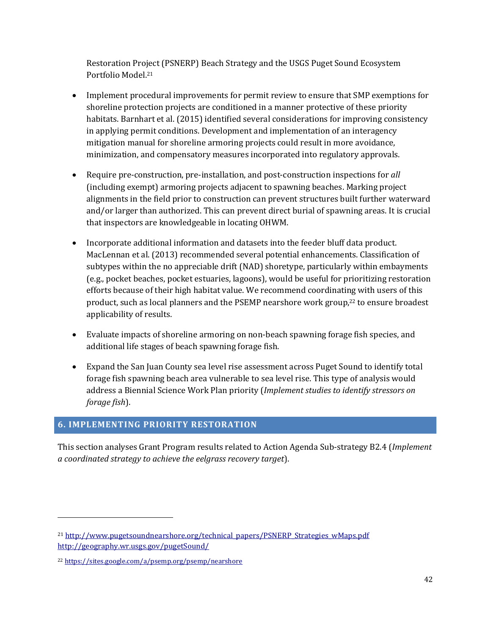Restoration Project (PSNERP) Beach Strategy and the USGS Puget Sound Ecosystem Portfolio Model. 21

- Implement procedural improvements for permit review to ensure that SMP exemptions for shoreline protection projects are conditioned in a manner protective of these priority habitats. Barnhart et al. (2015) identified several considerations for improving consistency in applying permit conditions. Development and implementation of an interagency mitigation manual for shoreline armoring projects could result in more avoidance, minimization, and compensatory measures incorporated into regulatory approvals.
- Require pre-construction, pre-installation, and post-construction inspections for *all* (including exempt) armoring projects adjacent to spawning beaches. Marking project alignments in the field prior to construction can prevent structures built further waterward and/or larger than authorized. This can prevent direct burial of spawning areas. It is crucial that inspectors are knowledgeable in locating OHWM.
- Incorporate additional information and datasets into the feeder bluff data product. MacLennan et al. (2013) recommended several potential enhancements. Classification of subtypes within the no appreciable drift (NAD) shoretype, particularly within embayments (e.g., pocket beaches, pocket estuaries, lagoons), would be useful for prioritizing restoration efforts because of their high habitat value. We recommend coordinating with users of this product, such as local planners and the PSEMP nearshore work group, <sup>22</sup> to ensure broadest applicability of results.
- Evaluate impacts of shoreline armoring on non-beach spawning forage fish species, and additional life stages of beach spawning forage fish.
- Expand the San Juan County sea level rise assessment across Puget Sound to identify total forage fish spawning beach area vulnerable to sea level rise. This type of analysis would address a Biennial Science Work Plan priority (*Implement studies to identify stressors on forage fish*).

## **6. IMPLEMENTING PRIORITY RESTORATION**

This section analyses Grant Program results related to Action Agenda Sub-strategy B2.4 (*Implement a coordinated strategy to achieve the eelgrass recovery target*).

 $\overline{a}$ 

<sup>21</sup> [http://www.pugetsoundnearshore.org/technical\\_papers/PSNERP\\_Strategies\\_wMaps.pdf](http://www.pugetsoundnearshore.org/technical_papers/PSNERP_Strategies_wMaps.pdf) <http://geography.wr.usgs.gov/pugetSound/>

<sup>22</sup> <https://sites.google.com/a/psemp.org/psemp/nearshore>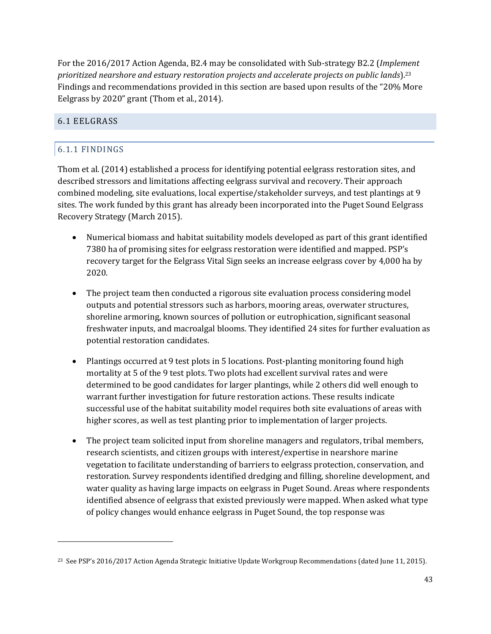For the 2016/2017 Action Agenda, B2.4 may be consolidated with Sub-strategy B2.2 (*Implement prioritized nearshore and estuary restoration projects and accelerate projects on public lands*). 23 Findings and recommendations provided in this section are based upon results of the "20% More Eelgrass by 2020" grant (Thom et al., 2014).

#### 6.1 EELGRASS

#### 6.1.1 FINDINGS

 $\overline{a}$ 

Thom et al. (2014) established a process for identifying potential eelgrass restoration sites, and described stressors and limitations affecting eelgrass survival and recovery. Their approach combined modeling, site evaluations, local expertise/stakeholder surveys, and test plantings at 9 sites. The work funded by this grant has already been incorporated into the Puget Sound Eelgrass Recovery Strategy (March 2015).

- Numerical biomass and habitat suitability models developed as part of this grant identified 7380 ha of promising sites for eelgrass restoration were identified and mapped. PSP's recovery target for the Eelgrass Vital Sign seeks an increase eelgrass cover by 4,000 ha by 2020.
- The project team then conducted a rigorous site evaluation process considering model outputs and potential stressors such as harbors, mooring areas, overwater structures, shoreline armoring, known sources of pollution or eutrophication, significant seasonal freshwater inputs, and macroalgal blooms. They identified 24 sites for further evaluation as potential restoration candidates.
- Plantings occurred at 9 test plots in 5 locations. Post-planting monitoring found high mortality at 5 of the 9 test plots. Two plots had excellent survival rates and were determined to be good candidates for larger plantings, while 2 others did well enough to warrant further investigation for future restoration actions. These results indicate successful use of the habitat suitability model requires both site evaluations of areas with higher scores, as well as test planting prior to implementation of larger projects.
- The project team solicited input from shoreline managers and regulators, tribal members, research scientists, and citizen groups with interest/expertise in nearshore marine vegetation to facilitate understanding of barriers to eelgrass protection, conservation, and restoration. Survey respondents identified dredging and filling, shoreline development, and water quality as having large impacts on eelgrass in Puget Sound. Areas where respondents identified absence of eelgrass that existed previously were mapped. When asked what type of policy changes would enhance eelgrass in Puget Sound, the top response was

<sup>&</sup>lt;sup>23</sup> See PSP's 2016/2017 Action Agenda Strategic Initiative Update Workgroup Recommendations (dated June 11, 2015).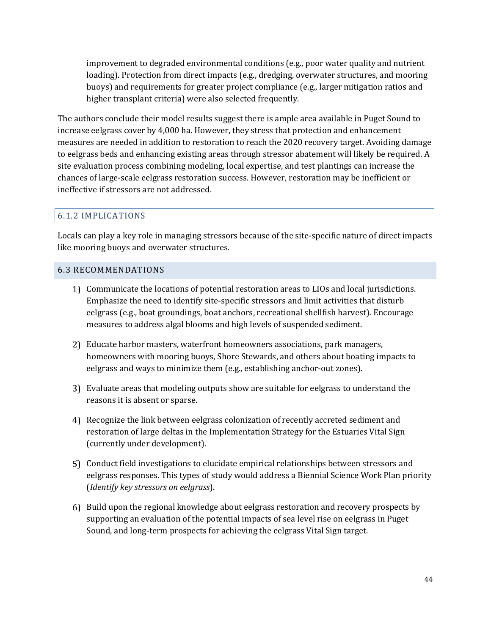improvement to degraded environmental conditions (e.g., poor water quality and nutrient loading). Protection from direct impacts (e.g., dredging, overwater structures, and mooring buoys) and requirements for greater project compliance (e.g., larger mitigation ratios and higher transplant criteria) were also selected frequently.

The authors conclude their model results suggest there is ample area available in Puget Sound to increase eelgrass cover by 4,000 ha. However, they stress that protection and enhancement measures are needed in addition to restoration to reach the 2020 recovery target. Avoiding damage to eelgrass beds and enhancing existing areas through stressor abatement will likely be required. A site evaluation process combining modeling, local expertise, and test plantings can increase the chances of large-scale eelgrass restoration success. However, restoration may be inefficient or ineffective if stressors are not addressed.

#### 6.1.2 IMPLICATIONS

Locals can play a key role in managing stressors because of the site-specific nature of direct impacts like mooring buoys and overwater structures.

#### 6.3 RECOMMENDATIONS

- Communicate the locations of potential restoration areas to LIOs and local jurisdictions. Emphasize the need to identify site-specific stressors and limit activities that disturb eelgrass (e.g., boat groundings, boat anchors, recreational shellfish harvest). Encourage measures to address algal blooms and high levels of suspended sediment.
- Educate harbor masters, waterfront homeowners associations, park managers, homeowners with mooring buoys, Shore Stewards, and others about boating impacts to eelgrass and ways to minimize them (e.g., establishing anchor-out zones).
- Evaluate areas that modeling outputs show are suitable for eelgrass to understand the reasons it is absent or sparse.
- Recognize the link between eelgrass colonization of recently accreted sediment and restoration of large deltas in the Implementation Strategy for the Estuaries Vital Sign (currently under development).
- Conduct field investigations to elucidate empirical relationships between stressors and eelgrass responses. This types of study would address a Biennial Science Work Plan priority (*Identify key stressors on eelgrass*).
- Build upon the regional knowledge about eelgrass restoration and recovery prospects by supporting an evaluation of the potential impacts of sea level rise on eelgrass in Puget Sound, and long-term prospects for achieving the eelgrass Vital Sign target.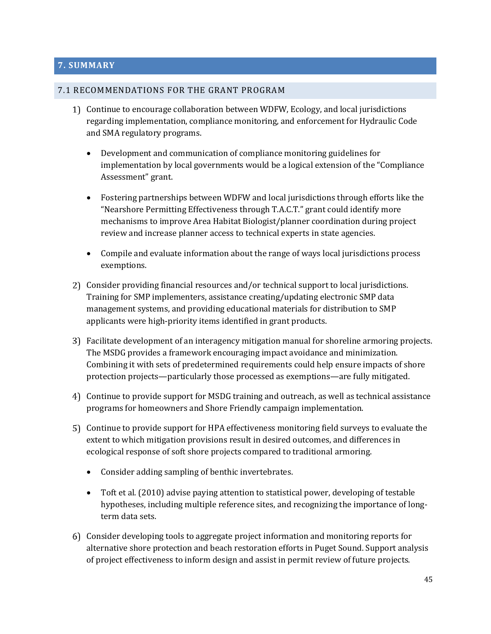#### **7. SUMMARY**

#### 7.1 RECOMMENDATIONS FOR THE GRANT PROGRAM

- Continue to encourage collaboration between WDFW, Ecology, and local jurisdictions regarding implementation, compliance monitoring, and enforcement for Hydraulic Code and SMA regulatory programs.
	- Development and communication of compliance monitoring guidelines for implementation by local governments would be a logical extension of the "Compliance Assessment" grant.
	- Fostering partnerships between WDFW and local jurisdictions through efforts like the "Nearshore Permitting Effectiveness through T.A.C.T." grant could identify more mechanisms to improve Area Habitat Biologist/planner coordination during project review and increase planner access to technical experts in state agencies.
	- Compile and evaluate information about the range of ways local jurisdictions process exemptions.
- Consider providing financial resources and/or technical support to local jurisdictions. Training for SMP implementers, assistance creating/updating electronic SMP data management systems, and providing educational materials for distribution to SMP applicants were high-priority items identified in grant products.
- Facilitate development of an interagency mitigation manual for shoreline armoring projects. The MSDG provides a framework encouraging impact avoidance and minimization. Combining it with sets of predetermined requirements could help ensure impacts of shore protection projects—particularly those processed as exemptions—are fully mitigated.
- Continue to provide support for MSDG training and outreach, as well as technical assistance programs for homeowners and Shore Friendly campaign implementation.
- Continue to provide support for HPA effectiveness monitoring field surveys to evaluate the extent to which mitigation provisions result in desired outcomes, and differences in ecological response of soft shore projects compared to traditional armoring.
	- Consider adding sampling of benthic invertebrates.
	- Toft et al. (2010) advise paying attention to statistical power, developing of testable hypotheses, including multiple reference sites, and recognizing the importance of longterm data sets.
- Consider developing tools to aggregate project information and monitoring reports for alternative shore protection and beach restoration efforts in Puget Sound. Support analysis of project effectiveness to inform design and assist in permit review of future projects.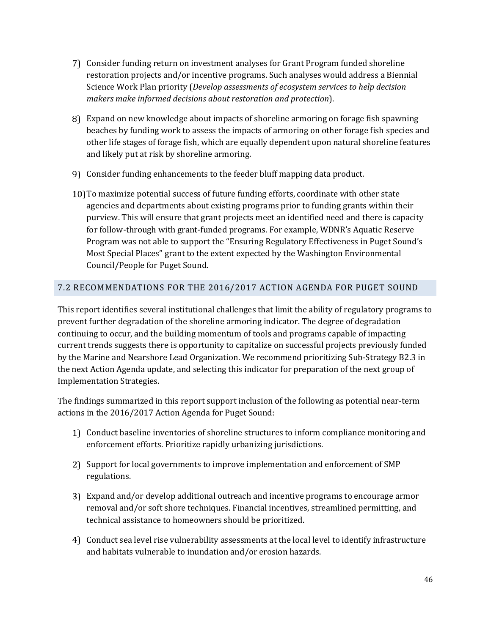- Consider funding return on investment analyses for Grant Program funded shoreline restoration projects and/or incentive programs. Such analyses would address a Biennial Science Work Plan priority (*Develop assessments of ecosystem services to help decision makers make informed decisions about restoration and protection*).
- Expand on new knowledge about impacts of shoreline armoring on forage fish spawning beaches by funding work to assess the impacts of armoring on other forage fish species and other life stages of forage fish, which are equally dependent upon natural shoreline features and likely put at risk by shoreline armoring.
- Consider funding enhancements to the feeder bluff mapping data product.
- To maximize potential success of future funding efforts, coordinate with other state agencies and departments about existing programs prior to funding grants within their purview. This will ensure that grant projects meet an identified need and there is capacity for follow-through with grant-funded programs. For example, WDNR's Aquatic Reserve Program was not able to support the "Ensuring Regulatory Effectiveness in Puget Sound's Most Special Places" grant to the extent expected by the Washington Environmental Council/People for Puget Sound.

#### 7.2 RECOMMENDATIONS FOR THE 2016/2017 ACTION AGENDA FOR PUGET SOUND

This report identifies several institutional challenges that limit the ability of regulatory programs to prevent further degradation of the shoreline armoring indicator. The degree of degradation continuing to occur, and the building momentum of tools and programs capable of impacting current trends suggests there is opportunity to capitalize on successful projects previously funded by the Marine and Nearshore Lead Organization. We recommend prioritizing Sub-Strategy B2.3 in the next Action Agenda update, and selecting this indicator for preparation of the next group of Implementation Strategies.

The findings summarized in this report support inclusion of the following as potential near-term actions in the 2016/2017 Action Agenda for Puget Sound:

- Conduct baseline inventories of shoreline structures to inform compliance monitoring and enforcement efforts. Prioritize rapidly urbanizing jurisdictions.
- 2) Support for local governments to improve implementation and enforcement of SMP regulations.
- Expand and/or develop additional outreach and incentive programs to encourage armor removal and/or soft shore techniques. Financial incentives, streamlined permitting, and technical assistance to homeowners should be prioritized.
- Conduct sea level rise vulnerability assessments at the local level to identify infrastructure and habitats vulnerable to inundation and/or erosion hazards.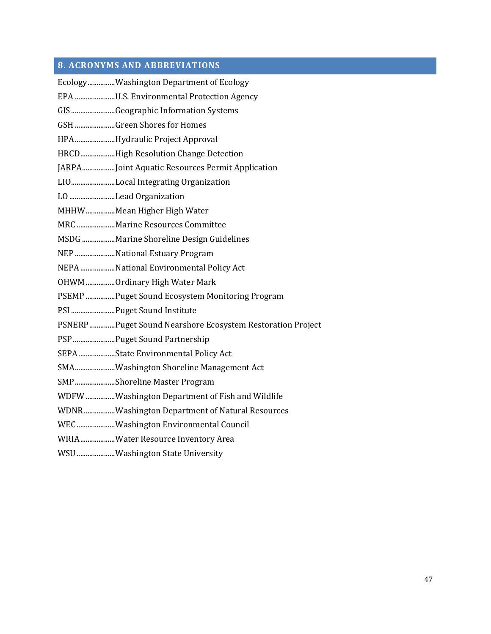## **8. ACRONYMS AND ABBREVIATIONS**

| EcologyWashington Department of Ecology                   |
|-----------------------------------------------------------|
| EPA U.S. Environmental Protection Agency                  |
| GISGeographic Information Systems                         |
| GSH Green Shores for Homes                                |
| HPAHydraulic Project Approval                             |
| HRCDHigh Resolution Change Detection                      |
| JARPAJoint Aquatic Resources Permit Application           |
| LIOLocal Integrating Organization                         |
| LO Lead Organization                                      |
| MHHW Mean Higher High Water                               |
| MRC Marine Resources Committee                            |
| MSDG Marine Shoreline Design Guidelines                   |
| NEP National Estuary Program                              |
| NEPA National Environmental Policy Act                    |
| OHWM Ordinary High Water Mark                             |
| PSEMP Puget Sound Ecosystem Monitoring Program            |
| PSI  Puget Sound Institute                                |
| PSNERPPuget Sound Nearshore Ecosystem Restoration Project |
| PSP  Puget Sound Partnership                              |
| SEPAState Environmental Policy Act                        |
| SMAWashington Shoreline Management Act                    |
| SMPShoreline Master Program                               |
| WDFW Washington Department of Fish and Wildlife           |
| WDNRWashington Department of Natural Resources            |
| WECWashington Environmental Council                       |
| WRIAWater Resource Inventory Area                         |
| WSU Washington State University                           |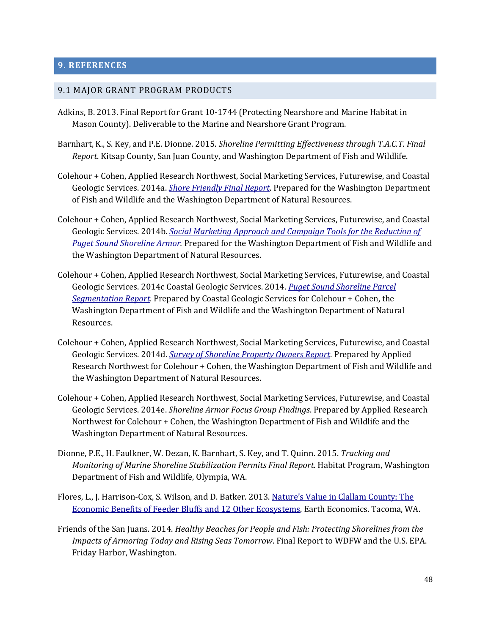#### **9. REFERENCES**

#### 9.1 MAJOR GRANT PROGRAM PRODUCTS

- Adkins, B. 2013. Final Report for Grant 10-1744 (Protecting Nearshore and Marine Habitat in Mason County). Deliverable to the Marine and Nearshore Grant Program.
- Barnhart, K., S. Key, and P.E. Dionne. 2015. *Shoreline Permitting Effectiveness through T.A.C.T. Final Report*. Kitsap County, San Juan County, and Washington Department of Fish and Wildlife.
- Colehour + Cohen, Applied Research Northwest, Social Marketing Services, Futurewise, and Coastal Geologic Services. 2014a. *[Shore Friendly Final Report](http://wdfw.wa.gov/grants/ps_marine_nearshore/files/final_report.pdf)*. Prepared for the Washington Department of Fish and Wildlife and the Washington Department of Natural Resources.
- Colehour + Cohen, Applied Research Northwest, Social Marketing Services, Futurewise, and Coastal Geologic Services. 2014b. *[Social Marketing Approach and Campaign Tools for the Reduction of](http://wdfw.wa.gov/grants/ps_marine_nearshore/files/approach_campaign.pdf)  [Puget Sound Shoreline Armor.](http://wdfw.wa.gov/grants/ps_marine_nearshore/files/approach_campaign.pdf)* Prepared for the Washington Department of Fish and Wildlife and the Washington Department of Natural Resources.
- Colehour + Cohen, Applied Research Northwest, Social Marketing Services, Futurewise, and Coastal Geologic Services. 2014c Coastal Geologic Services. 2014. *[Puget Sound Shoreline Parcel](http://wdfw.wa.gov/grants/ps_marine_nearshore/files/approach_campaign.pdf)  [Segmentation Report.](http://wdfw.wa.gov/grants/ps_marine_nearshore/files/approach_campaign.pdf)* Prepared by Coastal Geologic Services for Colehour + Cohen, the Washington Department of Fish and Wildlife and the Washington Department of Natural Resources.
- Colehour + Cohen, Applied Research Northwest, Social Marketing Services, Futurewise, and Coastal Geologic Services. 2014d. *[Survey of Shoreline Property Owners Report](http://wdfw.wa.gov/grants/ps_marine_nearshore/files/survey.pdf)*. Prepared by Applied Research Northwest for Colehour + Cohen, the Washington Department of Fish and Wildlife and the Washington Department of Natural Resources.
- Colehour + Cohen, Applied Research Northwest, Social Marketing Services, Futurewise, and Coastal Geologic Services. 2014e. *Shoreline Armor Focus Group Findings*. Prepared by Applied Research Northwest for Colehour + Cohen, the Washington Department of Fish and Wildlife and the Washington Department of Natural Resources.
- Dionne, P.E., H. Faulkner, W. Dezan, K. Barnhart, S. Key, and T. Quinn. 2015. *Tracking and Monitoring of Marine Shoreline Stabilization Permits Final Report.* Habitat Program, Washington Department of Fish and Wildlife, Olympia, WA.
- Flores, L., J. Harrison-Cox, S. Wilson, and D. Batker. 2013. [Nature's Value in Clallam C](http://wdfw.wa.gov/grants/ps_marine_nearshore/files/ee_clallam_county_report_2013.pdf)ounty: The [Economic Benefits of Feeder Bluffs and 12 Other Ecosystems.](http://wdfw.wa.gov/grants/ps_marine_nearshore/files/ee_clallam_county_report_2013.pdf) Earth Economics. Tacoma, WA.
- Friends of the San Juans. 2014. *Healthy Beaches for People and Fish: Protecting Shorelines from the Impacts of Armoring Today and Rising Seas Tomorrow*. Final Report to WDFW and the U.S. EPA. Friday Harbor, Washington.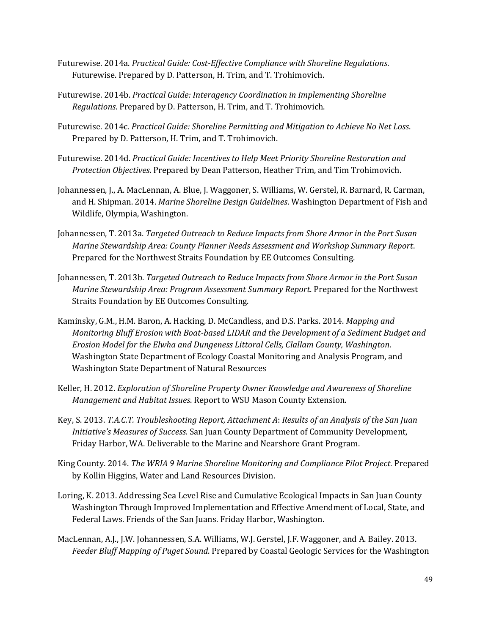- Futurewise. 2014a. *Practical Guide: Cost-Effective Compliance with Shoreline Regulations*. Futurewise. Prepared by D. Patterson, H. Trim, and T. Trohimovich.
- Futurewise. 2014b. *Practical Guide: Interagency Coordination in Implementing Shoreline Regulations*. Prepared by D. Patterson, H. Trim, and T. Trohimovich.
- Futurewise. 2014c. *Practical Guide: Shoreline Permitting and Mitigation to Achieve No Net Loss*. Prepared by D. Patterson, H. Trim, and T. Trohimovich.
- Futurewise. 2014d. *Practical Guide: Incentives to Help Meet Priority Shoreline Restoration and Protection Objectives*. Prepared by Dean Patterson, Heather Trim, and Tim Trohimovich.
- Johannessen, J., A. MacLennan, A. Blue, J. Waggoner, S. Williams, W. Gerstel, R. Barnard, R. Carman, and H. Shipman. 2014. *Marine Shoreline Design Guidelines*. Washington Department of Fish and Wildlife, Olympia, Washington.
- Johannessen, T. 2013a. *Targeted Outreach to Reduce Impacts from Shore Armor in the Port Susan Marine Stewardship Area: County Planner Needs Assessment and Workshop Summary Report*. Prepared for the Northwest Straits Foundation by EE Outcomes Consulting.
- Johannessen, T. 2013b. *Targeted Outreach to Reduce Impacts from Shore Armor in the Port Susan Marine Stewardship Area: Program Assessment Summary Report*. Prepared for the Northwest Straits Foundation by EE Outcomes Consulting.
- Kaminsky, G.M., H.M. Baron, A. Hacking, D. McCandless, and D.S. Parks. 2014. *Mapping and Monitoring Bluff Erosion with Boat-based LIDAR and the Development of a Sediment Budget and Erosion Model for the Elwha and Dungeness Littoral Cells, Clallam County, Washington*. Washington State Department of Ecology Coastal Monitoring and Analysis Program, and Washington State Department of Natural Resources
- Keller, H. 2012. *Exploration of Shoreline Property Owner Knowledge and Awareness of Shoreline Management and Habitat Issues*. Report to WSU Mason County Extension.
- Key, S. 2013. *T.A.C.T. Troubleshooting Report, Attachment A*: *Results of an Analysis of the San Juan Initiative's Measures of Success.* San Juan County Department of Community Development, Friday Harbor, WA. Deliverable to the Marine and Nearshore Grant Program.
- King County. 2014. *The WRIA 9 Marine Shoreline Monitoring and Compliance Pilot Project*. Prepared by Kollin Higgins, Water and Land Resources Division.
- Loring, K. 2013. Addressing Sea Level Rise and Cumulative Ecological Impacts in San Juan County Washington Through Improved Implementation and Effective Amendment of Local, State, and Federal Laws. Friends of the San Juans. Friday Harbor, Washington.
- MacLennan, A.J., J.W. Johannessen, S.A. Williams, W.J. Gerstel, J.F. Waggoner, and A. Bailey. 2013. *Feeder Bluff Mapping of Puget Sound*. Prepared by Coastal Geologic Services for the Washington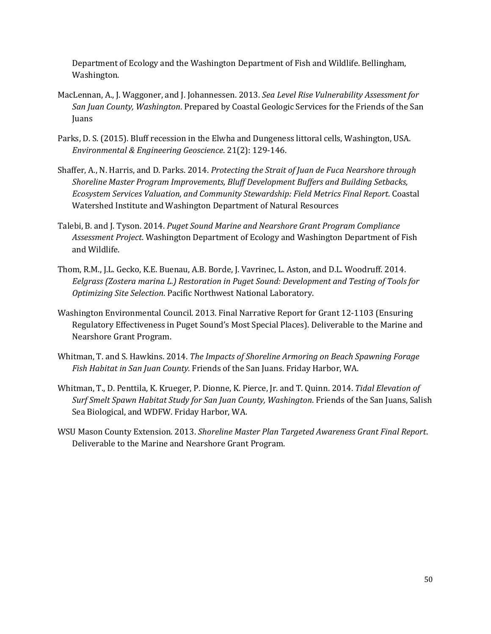Department of Ecology and the Washington Department of Fish and Wildlife. Bellingham, Washington.

- MacLennan, A., J. Waggoner, and J. Johannessen. 2013. *Sea Level Rise Vulnerability Assessment for San Juan County, Washington*. Prepared by Coastal Geologic Services for the Friends of the San Juans
- Parks, D. S. (2015). Bluff recession in the Elwha and Dungeness littoral cells, Washington, USA. *Environmental & Engineering Geoscience*. 21(2): 129-146.
- Shaffer, A., N. Harris, and D. Parks. 2014. *Protecting the Strait of Juan de Fuca Nearshore through Shoreline Master Program Improvements, Bluff Development Buffers and Building Setbacks, Ecosystem Services Valuation, and Community Stewardship: Field Metrics Final Report*. Coastal Watershed Institute and Washington Department of Natural Resources
- Talebi, B. and J. Tyson. 2014. *Puget Sound Marine and Nearshore Grant Program Compliance Assessment Project*. Washington Department of Ecology and Washington Department of Fish and Wildlife.
- Thom, R.M., J.L. Gecko, K.E. Buenau, A.B. Borde, J. Vavrinec, L. Aston, and D.L. Woodruff. 2014. *Eelgrass (Zostera marina L.) Restoration in Puget Sound: Development and Testing of Tools for Optimizing Site Selection*. Pacific Northwest National Laboratory.
- Washington Environmental Council. 2013. Final Narrative Report for Grant 12-1103 (Ensuring Regulatory Effectiveness in Puget Sound's Most Special Places). Deliverable to the Marine and Nearshore Grant Program.
- Whitman, T. and S. Hawkins. 2014. *The Impacts of Shoreline Armoring on Beach Spawning Forage Fish Habitat in San Juan County.* Friends of the San Juans. Friday Harbor, WA.
- Whitman, T., D. Penttila, K. Krueger, P. Dionne, K. Pierce, Jr. and T. Quinn. 2014. *Tidal Elevation of Surf Smelt Spawn Habitat Study for San Juan County, Washington*. Friends of the San Juans, Salish Sea Biological, and WDFW. Friday Harbor, WA.
- WSU Mason County Extension. 2013. *Shoreline Master Plan Targeted Awareness Grant Final Report*. Deliverable to the Marine and Nearshore Grant Program.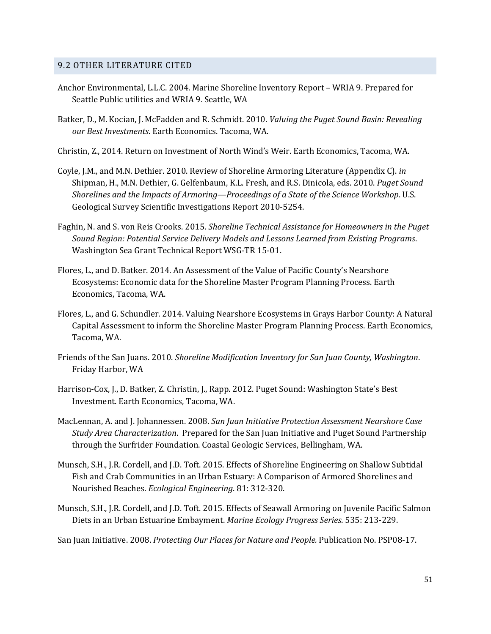#### 9.2 OTHER LITERATURE CITED

- Anchor Environmental, L.L.C. 2004. Marine Shoreline Inventory Report WRIA 9. Prepared for Seattle Public utilities and WRIA 9. Seattle, WA
- Batker, D., M. Kocian, J. McFadden and R. Schmidt. 2010. *Valuing the Puget Sound Basin: Revealing our Best Investments*. Earth Economics. Tacoma, WA.
- Christin, Z., 2014. Return on Investment of North Wind's Weir. Earth Economics, Tacoma, WA.
- Coyle, J.M., and M.N. Dethier. 2010. Review of Shoreline Armoring Literature (Appendix C). *in* Shipman, H., M.N. Dethier, G. Gelfenbaum, K.L. Fresh, and R.S. Dinicola, eds. 2010. *Puget Sound Shorelines and the Impacts of Armoring—Proceedings of a State of the Science Workshop*. U.S. Geological Survey Scientific Investigations Report 2010-5254.
- Faghin, N. and S. von Reis Crooks. 2015. *Shoreline Technical Assistance for Homeowners in the Puget Sound Region: Potential Service Delivery Models and Lessons Learned from Existing Programs*. Washington Sea Grant Technical Report WSG-TR 15-01.
- Flores, L., and D. Batker. 2014. An Assessment of the Value of Pacific County's Nearshore Ecosystems: Economic data for the Shoreline Master Program Planning Process. Earth Economics, Tacoma, WA.
- Flores, L., and G. Schundler. 2014. Valuing Nearshore Ecosystems in Grays Harbor County: A Natural Capital Assessment to inform the Shoreline Master Program Planning Process. Earth Economics, Tacoma, WA.
- Friends of the San Juans. 2010. *Shoreline Modification Inventory for San Juan County, Washington*. Friday Harbor, WA
- Harrison-Cox, J., D. Batker, Z. Christin, J., Rapp. 2012. Puget Sound: Washington State's Best Investment. Earth Economics, Tacoma, WA.
- MacLennan, A. and J. Johannessen. 2008. *San Juan Initiative Protection Assessment Nearshore Case Study Area Characterization*. Prepared for the San Juan Initiative and Puget Sound Partnership through the Surfrider Foundation. Coastal Geologic Services, Bellingham, WA.
- Munsch, S.H., J.R. Cordell, and J.D. Toft. 2015. Effects of Shoreline Engineering on Shallow Subtidal Fish and Crab Communities in an Urban Estuary: A Comparison of Armored Shorelines and Nourished Beaches. *Ecological Engineering*. 81: 312-320.
- Munsch, S.H., J.R. Cordell, and J.D. Toft. 2015. Effects of Seawall Armoring on Juvenile Pacific Salmon Diets in an Urban Estuarine Embayment. *Marine Ecology Progress Series*. 535: 213-229.

San Juan Initiative. 2008. *Protecting Our Places for Nature and People.* Publication No. PSP08-17.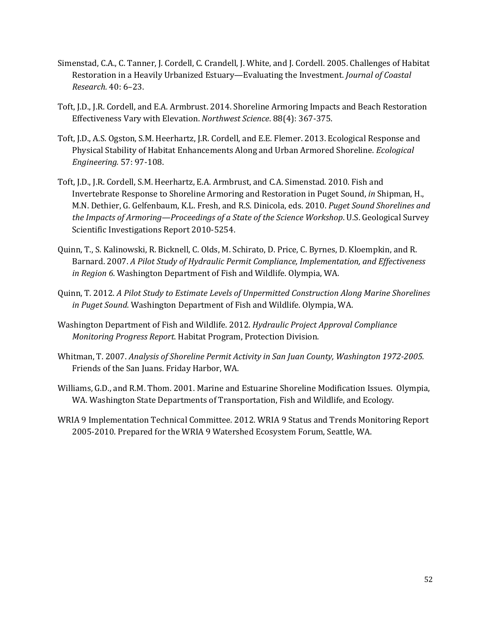- Simenstad, C.A., C. Tanner, J. Cordell, C. Crandell, J. White, and J. Cordell. 2005. Challenges of Habitat Restoration in a Heavily Urbanized Estuary—Evaluating the Investment. *Journal of Coastal Research.* 40: 6–23.
- Toft, J.D., J.R. Cordell, and E.A. Armbrust. 2014. Shoreline Armoring Impacts and Beach Restoration Effectiveness Vary with Elevation. *Northwest Science*. 88(4): 367-375.
- Toft, J.D., A.S. Ogston, S.M. Heerhartz, J.R. Cordell, and E.E. Flemer. 2013. Ecological Response and Physical Stability of Habitat Enhancements Along and Urban Armored Shoreline. *Ecological Engineering.* 57: 97-108.
- Toft, J.D., J.R. Cordell, S.M. Heerhartz, E.A. Armbrust, and C.A. Simenstad. 2010. Fish and Invertebrate Response to Shoreline Armoring and Restoration in Puget Sound, *in* Shipman, H., M.N. Dethier, G. Gelfenbaum, K.L. Fresh, and R.S. Dinicola, eds. 2010. *Puget Sound Shorelines and the Impacts of Armoring—Proceedings of a State of the Science Workshop*. U.S. Geological Survey Scientific Investigations Report 2010-5254.
- Quinn, T., S. Kalinowski, R. Bicknell, C. Olds, M. Schirato, D. Price, C. Byrnes, D. Kloempkin, and R. Barnard. 2007. *A Pilot Study of Hydraulic Permit Compliance, Implementation, and Effectiveness in Region 6*. Washington Department of Fish and Wildlife. Olympia, WA.
- Quinn, T. 2012. *A Pilot Study to Estimate Levels of Unpermitted Construction Along Marine Shorelines in Puget Sound.* Washington Department of Fish and Wildlife. Olympia, WA.
- Washington Department of Fish and Wildlife. 2012. *Hydraulic Project Approval Compliance Monitoring Progress Report*. Habitat Program, Protection Division.
- Whitman, T. 2007. *Analysis of Shoreline Permit Activity in San Juan County, Washington 1972-2005.* Friends of the San Juans. Friday Harbor, WA.
- Williams, G.D., and R.M. Thom. 2001. Marine and Estuarine Shoreline Modification Issues. Olympia, WA. Washington State Departments of Transportation, Fish and Wildlife, and Ecology.
- WRIA 9 Implementation Technical Committee. 2012. WRIA 9 Status and Trends Monitoring Report 2005-2010. Prepared for the WRIA 9 Watershed Ecosystem Forum, Seattle, WA.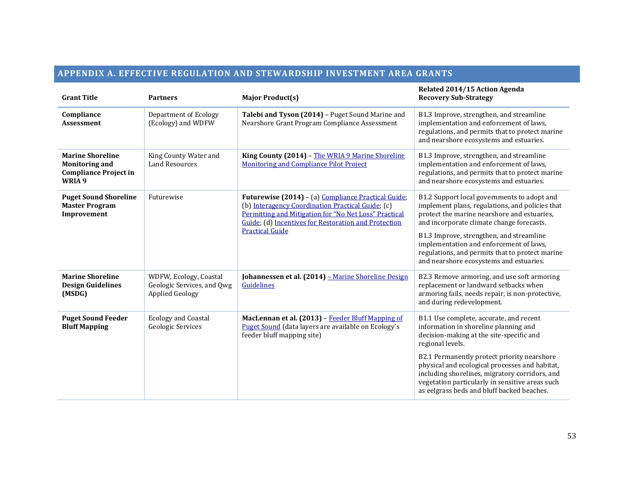## **APPENDIX A. EFFECTIVE REGULATION AND STEWARDSHIP INVESTMENT AREA GRANTS**

| <b>Grant Title</b>                                                                         | <b>Partners</b>                                                                | <b>Major Product(s)</b>                                                                                                                                                                                                                             | Related 2014/15 Action Agenda<br><b>Recovery Sub-Strategy</b>                                                                                                                                                                                                                                                                                                                                        |
|--------------------------------------------------------------------------------------------|--------------------------------------------------------------------------------|-----------------------------------------------------------------------------------------------------------------------------------------------------------------------------------------------------------------------------------------------------|------------------------------------------------------------------------------------------------------------------------------------------------------------------------------------------------------------------------------------------------------------------------------------------------------------------------------------------------------------------------------------------------------|
| Compliance<br><b>Assessment</b>                                                            | Department of Ecology<br>(Ecology) and WDFW                                    | Talebi and Tyson (2014) - Puget Sound Marine and<br>Nearshore Grant Program Compliance Assessment                                                                                                                                                   | B1.3 Improve, strengthen, and streamline<br>implementation and enforcement of laws,<br>regulations, and permits that to protect marine<br>and nearshore ecosystems and estuaries.                                                                                                                                                                                                                    |
| <b>Marine Shoreline</b><br><b>Monitoring and</b><br><b>Compliance Project in</b><br>WRIA 9 | King County Water and<br><b>Land Resources</b>                                 | King County (2014) - The WRIA 9 Marine Shoreline<br>Monitoring and Compliance Pilot Project                                                                                                                                                         | B1.3 Improve, strengthen, and streamline<br>implementation and enforcement of laws,<br>regulations, and permits that to protect marine<br>and nearshore ecosystems and estuaries.                                                                                                                                                                                                                    |
| <b>Puget Sound Shoreline</b><br><b>Master Program</b><br>Improvement                       | Futurewise                                                                     | Futurewise (2014) - (a) Compliance Practical Guide;<br>(b) Interagency Coordination Practical Guide; (c)<br>Permitting and Mitigation for "No Net Loss" Practical<br>Guide; (d) Incentives for Restoration and Protection<br><b>Practical Guide</b> | B1.2 Support local governments to adopt and<br>implement plans, regulations, and policies that<br>protect the marine nearshore and estuaries,<br>and incorporate climate change forecasts.<br>B1.3 Improve, strengthen, and streamline<br>implementation and enforcement of laws,<br>regulations, and permits that to protect marine<br>and nearshore ecosystems and estuaries.                      |
| <b>Marine Shoreline</b><br><b>Design Guidelines</b><br>(MSDG)                              | WDFW, Ecology, Coastal<br>Geologic Services, and Qwg<br><b>Applied Geology</b> | Johannessen et al. (2014) - Marine Shoreline Design<br>Guidelines                                                                                                                                                                                   | B2.3 Remove armoring, and use soft armoring<br>replacement or landward setbacks when<br>armoring fails, needs repair, is non-protective,<br>and during redevelopment.                                                                                                                                                                                                                                |
| <b>Puget Sound Feeder</b><br><b>Bluff Mapping</b>                                          | <b>Ecology and Coastal</b><br>Geologic Services                                | MacLennan et al. (2013) - Feeder Bluff Mapping of<br>Puget Sound (data layers are available on Ecology's<br>feeder bluff mapping site)                                                                                                              | B1.1 Use complete, accurate, and recent<br>information in shoreline planning and<br>decision-making at the site-specific and<br>regional levels.<br>B2.1 Permanently protect priority nearshore<br>physical and ecological processes and habitat,<br>including shorelines, migratory corridors, and<br>vegetation particularly in sensitive areas such<br>as eelgrass beds and bluff backed beaches. |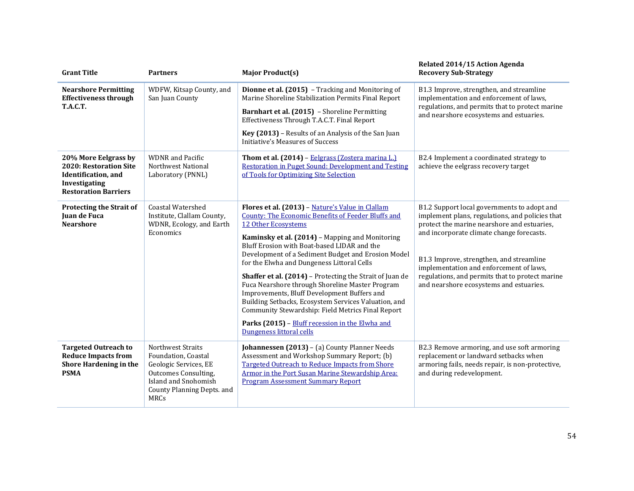| <b>Grant Title</b>                                                                                                    | <b>Partners</b>                                                                                                                                                       | <b>Major Product(s)</b>                                                                                                                                                                                                                                                                                                                                                                                                                                                                                                                                                                                                                                                                              | Related 2014/15 Action Agenda<br><b>Recovery Sub-Strategy</b>                                                                                                                                                                                                                                                                                                                   |
|-----------------------------------------------------------------------------------------------------------------------|-----------------------------------------------------------------------------------------------------------------------------------------------------------------------|------------------------------------------------------------------------------------------------------------------------------------------------------------------------------------------------------------------------------------------------------------------------------------------------------------------------------------------------------------------------------------------------------------------------------------------------------------------------------------------------------------------------------------------------------------------------------------------------------------------------------------------------------------------------------------------------------|---------------------------------------------------------------------------------------------------------------------------------------------------------------------------------------------------------------------------------------------------------------------------------------------------------------------------------------------------------------------------------|
| <b>Nearshore Permitting</b><br><b>Effectiveness through</b><br>T.A.C.T.                                               | WDFW, Kitsap County, and<br>San Juan County                                                                                                                           | Dionne et al. (2015) - Tracking and Monitoring of<br>Marine Shoreline Stabilization Permits Final Report<br>Barnhart et al. (2015) - Shoreline Permitting<br>Effectiveness Through T.A.C.T. Final Report<br>Key (2013) - Results of an Analysis of the San Juan<br>Initiative's Measures of Success                                                                                                                                                                                                                                                                                                                                                                                                  | B1.3 Improve, strengthen, and streamline<br>implementation and enforcement of laws,<br>regulations, and permits that to protect marine<br>and nearshore ecosystems and estuaries.                                                                                                                                                                                               |
| 20% More Eelgrass by<br>2020: Restoration Site<br>Identification, and<br>Investigating<br><b>Restoration Barriers</b> | <b>WDNR</b> and Pacific<br>Northwest National<br>Laboratory (PNNL)                                                                                                    | Thom et al. (2014) - Eelgrass (Zostera marina L.)<br><b>Restoration in Puget Sound: Development and Testing</b><br>of Tools for Optimizing Site Selection                                                                                                                                                                                                                                                                                                                                                                                                                                                                                                                                            | B2.4 Implement a coordinated strategy to<br>achieve the eelgrass recovery target                                                                                                                                                                                                                                                                                                |
| Protecting the Strait of<br>Juan de Fuca<br><b>Nearshore</b>                                                          | <b>Coastal Watershed</b><br>Institute, Clallam County,<br>WDNR, Ecology, and Earth<br>Economics                                                                       | Flores et al. (2013) - Nature's Value in Clallam<br><b>County: The Economic Benefits of Feeder Bluffs and</b><br>12 Other Ecosystems<br>Kaminsky et al. (2014) - Mapping and Monitoring<br>Bluff Erosion with Boat-based LIDAR and the<br>Development of a Sediment Budget and Erosion Model<br>for the Elwha and Dungeness Littoral Cells<br>Shaffer et al. (2014) - Protecting the Strait of Juan de<br>Fuca Nearshore through Shoreline Master Program<br>Improvements, Bluff Development Buffers and<br>Building Setbacks, Ecosystem Services Valuation, and<br>Community Stewardship: Field Metrics Final Report<br>Parks (2015) - Bluff recession in the Elwha and<br>Dungeness littoral cells | B1.2 Support local governments to adopt and<br>implement plans, regulations, and policies that<br>protect the marine nearshore and estuaries,<br>and incorporate climate change forecasts.<br>B1.3 Improve, strengthen, and streamline<br>implementation and enforcement of laws,<br>regulations, and permits that to protect marine<br>and nearshore ecosystems and estuaries. |
| <b>Targeted Outreach to</b><br><b>Reduce Impacts from</b><br>Shore Hardening in the<br><b>PSMA</b>                    | <b>Northwest Straits</b><br>Foundation, Coastal<br>Geologic Services, EE<br>Outcomes Consulting,<br>Island and Snohomish<br>County Planning Depts. and<br><b>MRCs</b> | Johannessen (2013) - (a) County Planner Needs<br>Assessment and Workshop Summary Report; (b)<br><b>Targeted Outreach to Reduce Impacts from Shore</b><br>Armor in the Port Susan Marine Stewardship Area:<br><b>Program Assessment Summary Report</b>                                                                                                                                                                                                                                                                                                                                                                                                                                                | B2.3 Remove armoring, and use soft armoring<br>replacement or landward setbacks when<br>armoring fails, needs repair, is non-protective,<br>and during redevelopment.                                                                                                                                                                                                           |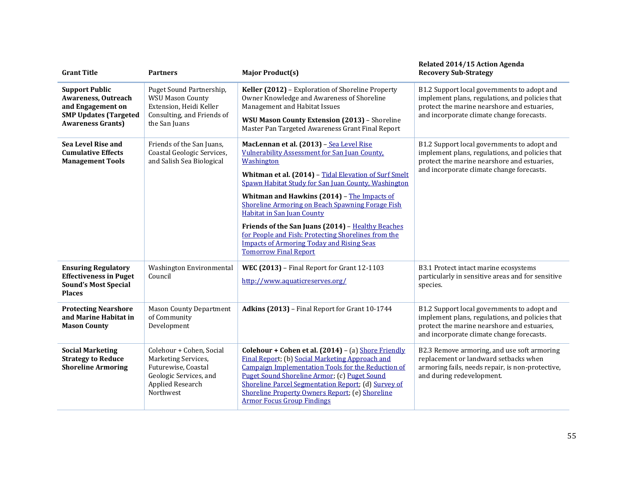| <b>Grant Title</b>                                                                                                                   | <b>Partners</b>                                                                                                                   | <b>Major Product(s)</b>                                                                                                                                                                                                                                                                                                                                                                                                                                                                                                                                                | Related 2014/15 Action Agenda<br><b>Recovery Sub-Strategy</b>                                                                                                                              |
|--------------------------------------------------------------------------------------------------------------------------------------|-----------------------------------------------------------------------------------------------------------------------------------|------------------------------------------------------------------------------------------------------------------------------------------------------------------------------------------------------------------------------------------------------------------------------------------------------------------------------------------------------------------------------------------------------------------------------------------------------------------------------------------------------------------------------------------------------------------------|--------------------------------------------------------------------------------------------------------------------------------------------------------------------------------------------|
| <b>Support Public</b><br><b>Awareness, Outreach</b><br>and Engagement on<br><b>SMP Updates (Targeted</b><br><b>Awareness Grants)</b> | Puget Sound Partnership,<br><b>WSU Mason County</b><br>Extension, Heidi Keller<br>Consulting, and Friends of<br>the San Juans     | Keller (2012) - Exploration of Shoreline Property<br>Owner Knowledge and Awareness of Shoreline<br>Management and Habitat Issues<br>WSU Mason County Extension (2013) - Shoreline<br>Master Pan Targeted Awareness Grant Final Report                                                                                                                                                                                                                                                                                                                                  | B1.2 Support local governments to adopt and<br>implement plans, regulations, and policies that<br>protect the marine nearshore and estuaries,<br>and incorporate climate change forecasts. |
| Sea Level Rise and<br><b>Cumulative Effects</b><br><b>Management Tools</b>                                                           | Friends of the San Juans,<br>Coastal Geologic Services,<br>and Salish Sea Biological                                              | MacLennan et al. (2013) - Sea Level Rise<br>Vulnerability Assessment for San Juan County.<br>Washington<br>Whitman et al. (2014) - Tidal Elevation of Surf Smelt<br>Spawn Habitat Study for San Juan County, Washington<br>Whitman and Hawkins (2014) - The Impacts of<br><b>Shoreline Armoring on Beach Spawning Forage Fish</b><br><b>Habitat in San Juan County</b><br>Friends of the San Juans (2014) - Healthy Beaches<br>for People and Fish: Protecting Shorelines from the<br><b>Impacts of Armoring Today and Rising Seas</b><br><b>Tomorrow Final Report</b> | B1.2 Support local governments to adopt and<br>implement plans, regulations, and policies that<br>protect the marine nearshore and estuaries,<br>and incorporate climate change forecasts. |
| <b>Ensuring Regulatory</b><br><b>Effectiveness in Puget</b><br><b>Sound's Most Special</b><br><b>Places</b>                          | Washington Environmental<br>Council                                                                                               | WEC (2013) - Final Report for Grant 12-1103<br>http://www.aquaticreserves.org/                                                                                                                                                                                                                                                                                                                                                                                                                                                                                         | B3.1 Protect intact marine ecosystems<br>particularly in sensitive areas and for sensitive<br>species.                                                                                     |
| <b>Protecting Nearshore</b><br>and Marine Habitat in<br><b>Mason County</b>                                                          | <b>Mason County Department</b><br>of Community<br>Development                                                                     | Adkins (2013) - Final Report for Grant 10-1744                                                                                                                                                                                                                                                                                                                                                                                                                                                                                                                         | B1.2 Support local governments to adopt and<br>implement plans, regulations, and policies that<br>protect the marine nearshore and estuaries,<br>and incorporate climate change forecasts. |
| <b>Social Marketing</b><br><b>Strategy to Reduce</b><br><b>Shoreline Armoring</b>                                                    | Colehour + Cohen, Social<br>Marketing Services,<br>Futurewise, Coastal<br>Geologic Services, and<br>Applied Research<br>Northwest | Colehour + Cohen et al. (2014) - (a) Shore Friendly<br>Final Report; (b) Social Marketing Approach and<br>Campaign Implementation Tools for the Reduction of<br>Puget Sound Shoreline Armor; (c) Puget Sound<br>Shoreline Parcel Segmentation Report; (d) Survey of<br>Shoreline Property Owners Report; (e) Shoreline<br><b>Armor Focus Group Findings</b>                                                                                                                                                                                                            | B2.3 Remove armoring, and use soft armoring<br>replacement or landward setbacks when<br>armoring fails, needs repair, is non-protective,<br>and during redevelopment.                      |